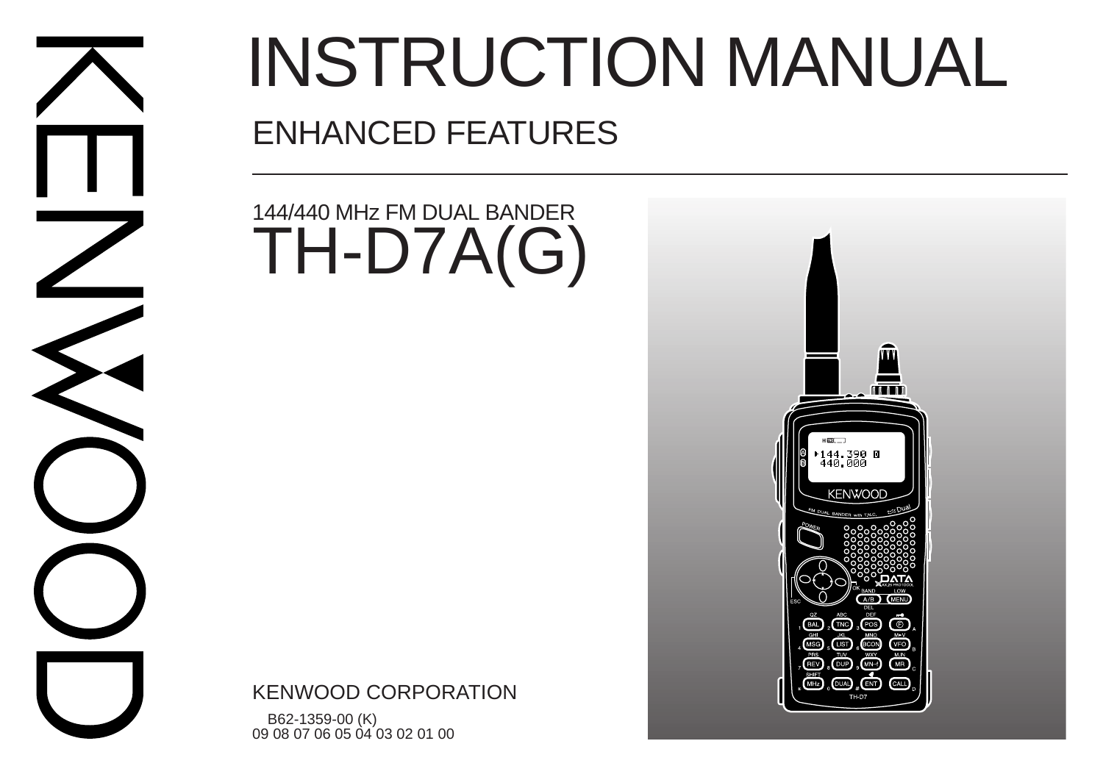

# INSTRUCTION MANUAL ENHANCED FEATURES

## 144/440 MHz FM DUAL BANDER TH-D7A(G)

KENWOOD CORPORATION

 B62-1359-00 (K) 09 08 07 06 05 04 03 02 01 00

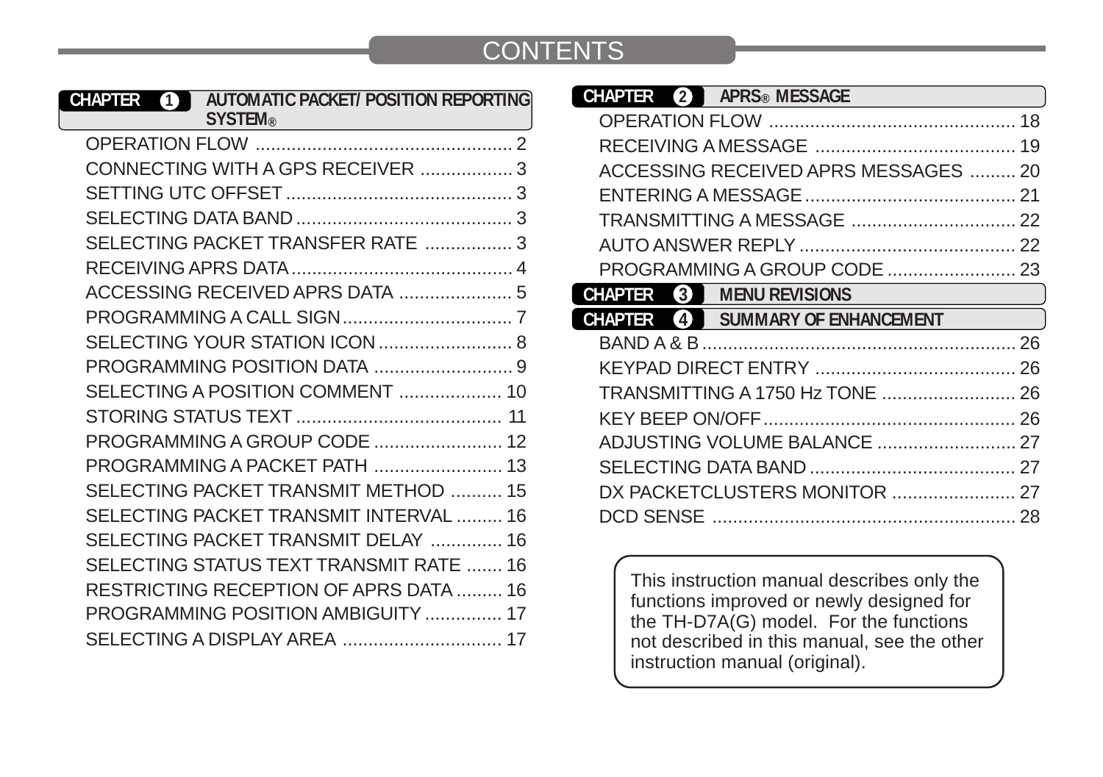#### **CONTENTS**

| <b>AUTOMATIC PACKET/ POSITION REPORTING</b><br>CHAPTER<br>4<br><b>SYSTEM®</b> |  |
|-------------------------------------------------------------------------------|--|
|                                                                               |  |
| CONNECTING WITH A GPS RECEIVER 3                                              |  |
|                                                                               |  |
|                                                                               |  |
| SELECTING PACKET TRANSFER RATE  3                                             |  |
|                                                                               |  |
| ACCESSING RECEIVED APRS DATA  5                                               |  |
|                                                                               |  |
|                                                                               |  |
|                                                                               |  |
| SELECTING A POSITION COMMENT  10                                              |  |
|                                                                               |  |
| PROGRAMMING A GROUP CODE  12                                                  |  |
| PROGRAMMING A PACKET PATH  13                                                 |  |
| SELECTING PACKET TRANSMIT METHOD  15                                          |  |
| SELECTING PACKET TRANSMIT INTERVAL  16                                        |  |
| SELECTING PACKET TRANSMIT DELAY  16                                           |  |
| SELECTING STATUS TEXT TRANSMIT RATE  16                                       |  |
| RESTRICTING RECEPTION OF APRS DATA  16                                        |  |
| PROGRAMMING POSITION AMBIGUITY  17                                            |  |
|                                                                               |  |

| <b>CHAPTER</b><br>$\mathbf{2}$ | APRS <sup>®</sup> MESSAGE            |  |
|--------------------------------|--------------------------------------|--|
|                                |                                      |  |
|                                |                                      |  |
|                                | ACCESSING RECEIVED APRS MESSAGES  20 |  |
|                                |                                      |  |
|                                |                                      |  |
|                                |                                      |  |
|                                |                                      |  |
| CHAPTER                        | <b>3 MENU REVISIONS</b>              |  |
|                                |                                      |  |
| <b>CHAPTER</b>                 | 4 SUMMARY OF ENHANCEMENT             |  |
|                                |                                      |  |
|                                |                                      |  |
|                                |                                      |  |
|                                |                                      |  |
|                                |                                      |  |
|                                |                                      |  |
|                                |                                      |  |

This instruction manual describes only the functions improved or newly designed for the TH-D7A(G) model. For the functions not described in this manual, see the other instruction manual (original).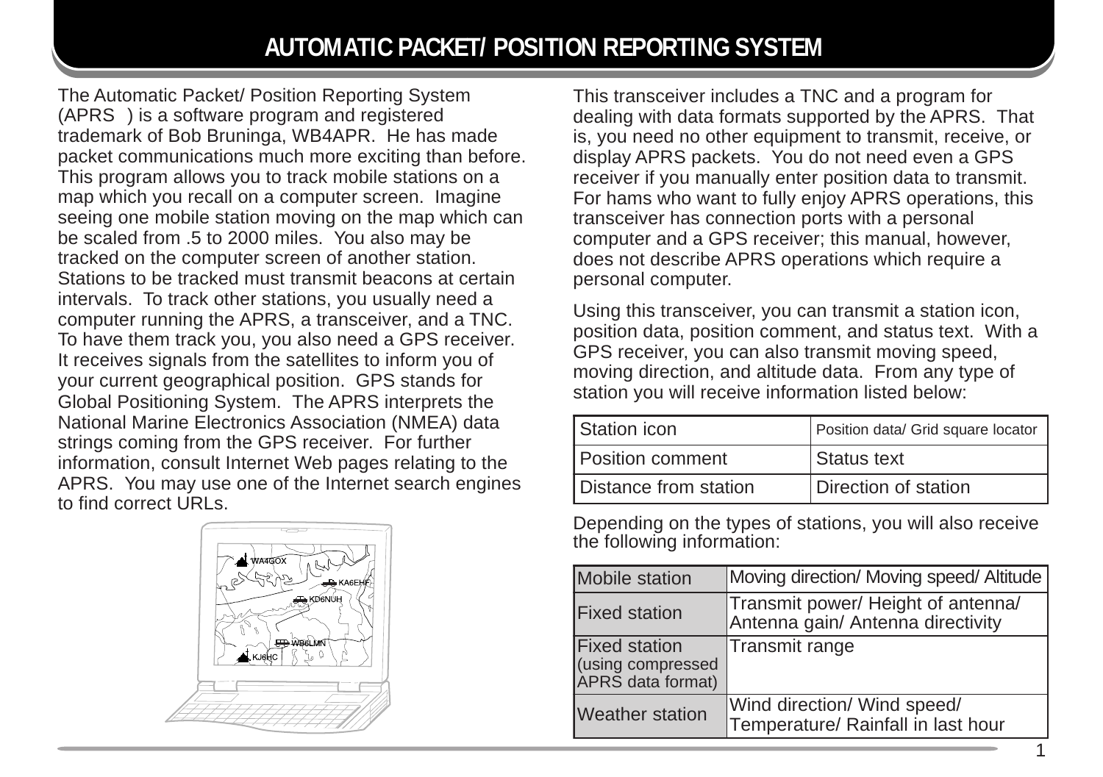The Automatic Packet/ Position Reporting System  $(APRS<sub>o</sub>)$  is a software program and registered trademark of Bob Bruninga, WB4APR. He has made packet communications much more exciting than before. This program allows you to track mobile stations on a map which you recall on a computer screen. Imagine seeing one mobile station moving on the map which can be scaled from .5 to 2000 miles. You also may be tracked on the computer screen of another station. Stations to be tracked must transmit beacons at certain intervals. To track other stations, you usually need a computer running the APRS, a transceiver, and a TNC. To have them track you, you also need a GPS receiver. It receives signals from the satellites to inform you of your current geographical position. GPS stands for Global Positioning System. The APRS interprets the National Marine Electronics Association (NMEA) data strings coming from the GPS receiver. For further information, consult Internet Web pages relating to the APRS. You may use one of the Internet search engines to find correct URLs.



This transceiver includes a TNC and a program for dealing with data formats supported by the APRS. That is, you need no other equipment to transmit, receive, or display APRS packets. You do not need even a GPS receiver if you manually enter position data to transmit. For hams who want to fully enjoy APRS operations, this transceiver has connection ports with a personal computer and a GPS receiver; this manual, however, does not describe APRS operations which require a personal computer.

Using this transceiver, you can transmit a station icon, position data, position comment, and status text. With a GPS receiver, you can also transmit moving speed, moving direction, and altitude data. From any type of station you will receive information listed below:

| Station icon          | Position data/ Grid square locator |
|-----------------------|------------------------------------|
| Position comment      | Status text                        |
| Distance from station | Direction of station               |

Depending on the types of stations, you will also receive the following information:

| Mobile station                                                 | Moving direction/ Moving speed/ Altitude                                |
|----------------------------------------------------------------|-------------------------------------------------------------------------|
| <b>Fixed station</b>                                           | Transmit power/ Height of antenna/<br>Antenna gain/ Antenna directivity |
| <b>Fixed station</b><br>(using compressed<br>APRS data format) | Transmit range                                                          |
| <b>Weather station</b>                                         | Wind direction/ Wind speed/<br>Temperature/ Rainfall in last hour       |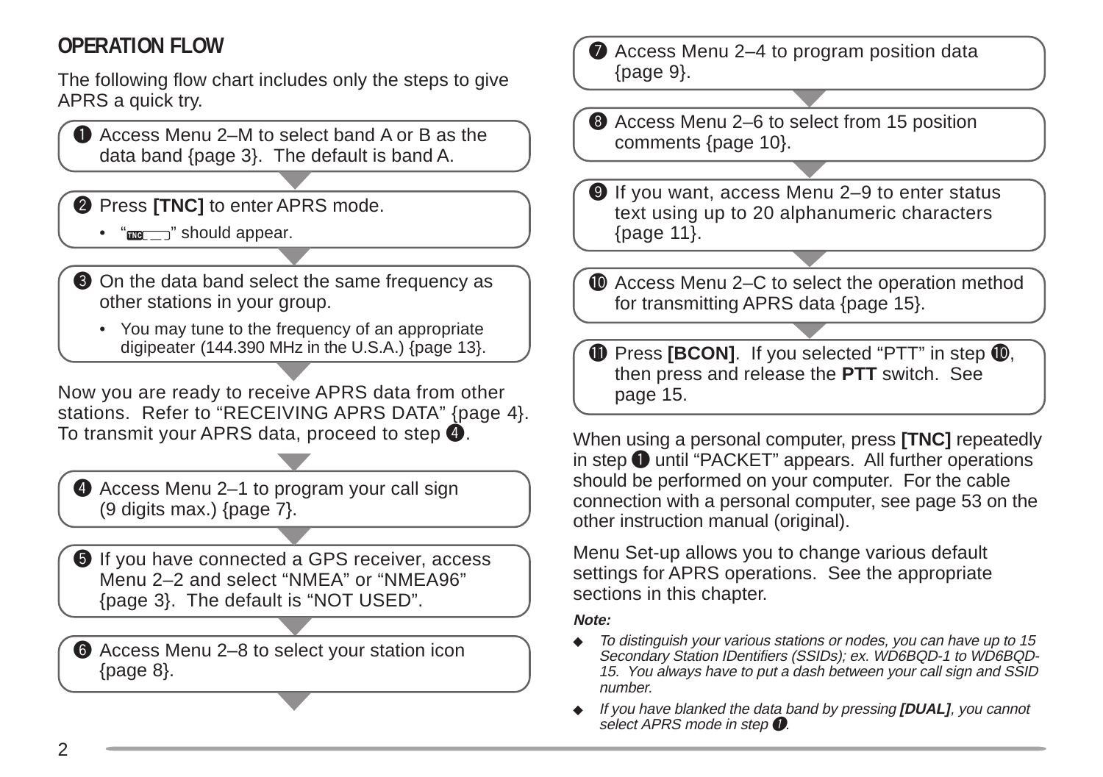## **OPERATION FLOW**

The following flow chart includes only the steps to give APRS a quick try.

**Q** Access Menu 2–M to select band A or B as the data band {page 3}. The default is band A.

**2** Press **[TNC]** to enter APRS mode.

- $\bullet$  " $\mathbf{m}$ , "should appear.
- **O** On the data band select the same frequency as other stations in your group.
	- You may tune to the frequency of an appropriate digipeater (144.390 MHz in the U.S.A.) {page 13}.

Now you are ready to receive APRS data from other stations. Refer to "RECEIVING APRS DATA" {page 4}. To transmit your APRS data, proceed to step  $\bullet$ . When using a personal computer, press **[TNC]** repeatedly

**4** Access Menu 2–1 to program your call sign (9 digits max.) {page 7}.

 $\bullet$  If you have connected a GPS receiver, access Menu 2–2 and select "NMEA" or "NMEA96" {page 3}. The default is "NOT USED".

**6** Access Menu 2–8 to select your station icon {page 8}.

 $\bullet$  Access Menu 2–4 to program position data {page 9}.

<sup>3</sup> Access Menu 2–6 to select from 15 position comments {page 10}.

**O** If you want, access Menu 2-9 to enter status text using up to 20 alphanumeric characters {page 11}.

**1** Access Menu 2–C to select the operation method for transmitting APRS data {page 15}.

**1** Press **[BCON]**. If you selected "PTT" in step **1**, then press and release the **PTT** switch. See page 15.

in step  $\bigodot$  until "PACKET" appears. All further operations should be performed on your computer. For the cable connection with a personal computer, see page 53 on the other instruction manual (original).

Menu Set-up allows you to change various default settings for APRS operations. See the appropriate sections in this chapter.

**Note:**

- ◆ To distinguish your various stations or nodes, you can have up to 15 Secondary Station IDentifiers (SSIDs); ex. WD6BQD-1 to WD6BQD-15. You always have to put a dash between your call sign and SSID number.
- ◆ If you have blanked the data band by pressing **[DUAL]**, you cannot select APRS mode in step  $\bullet$ .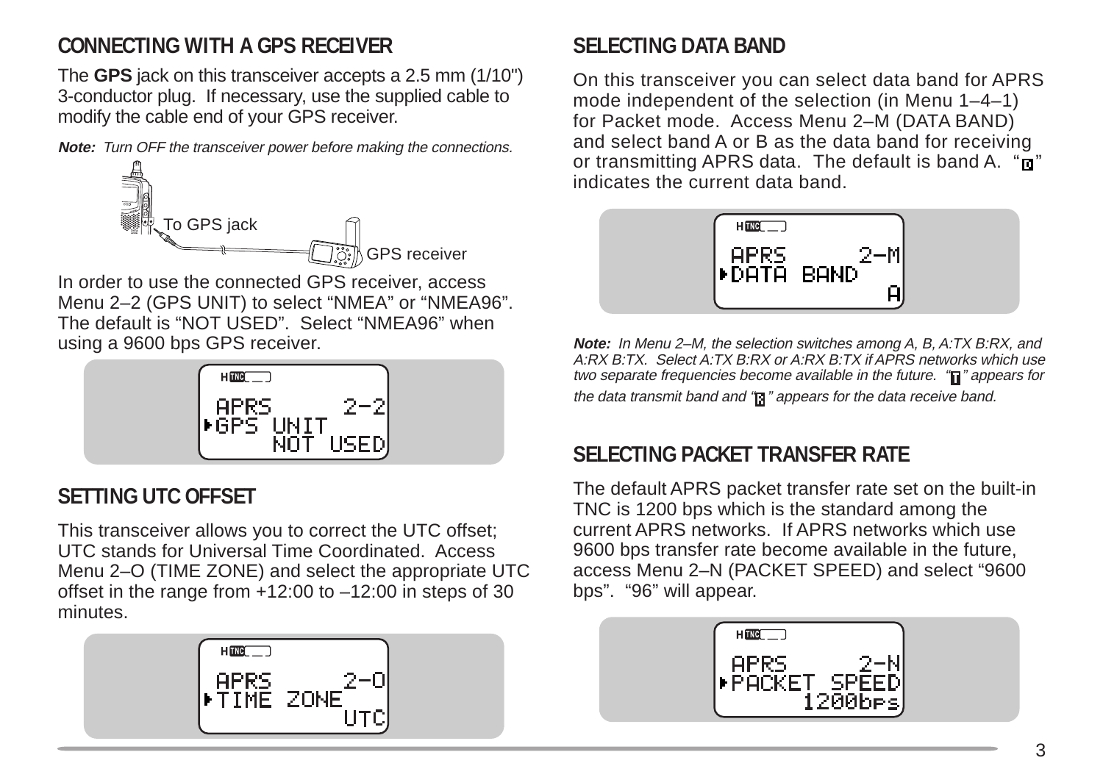## **CONNECTING WITH A GPS RECEIVER**

The **GPS** jack on this transceiver accepts a 2.5 mm (1/10") 3-conductor plug. If necessary, use the supplied cable to modify the cable end of your GPS receiver.

**Note:** Turn OFF the transceiver power before making the connections.



In order to use the connected GPS receiver, access Menu 2–2 (GPS UNIT) to select "NMEA" or "NMEA96". The default is "NOT USED". Select "NMEA96" when using a 9600 bps GPS receiver.



## **SETTING UTC OFFSET**

This transceiver allows you to correct the UTC offset; UTC stands for Universal Time Coordinated. Access Menu 2–O (TIME ZONE) and select the appropriate UTC offset in the range from +12:00 to –12:00 in steps of 30 minutes.



#### **SELECTING DATA BAND**

On this transceiver you can select data band for APRS mode independent of the selection (in Menu 1–4–1) for Packet mode. Access Menu 2–M (DATA BAND) and select band A or B as the data band for receiving or transmitting APRS data. The default is band A.  $\overline{\mathbf{u}}$ " indicates the current data band.



**Note:** In Menu 2–M, the selection switches among A, B, A:TX B:RX, and A:RX B:TX. Select A:TX B:RX or A:RX B:TX if APRS networks which use two separate frequencies become available in the future.  $\mathbf{a}$  appears for the data transmit band and "**11**" appears for the data receive band.

#### **SELECTING PACKET TRANSFER RATE**

The default APRS packet transfer rate set on the built-in TNC is 1200 bps which is the standard among the current APRS networks. If APRS networks which use 9600 bps transfer rate become available in the future, access Menu 2–N (PACKET SPEED) and select "9600 bps". "96" will appear.

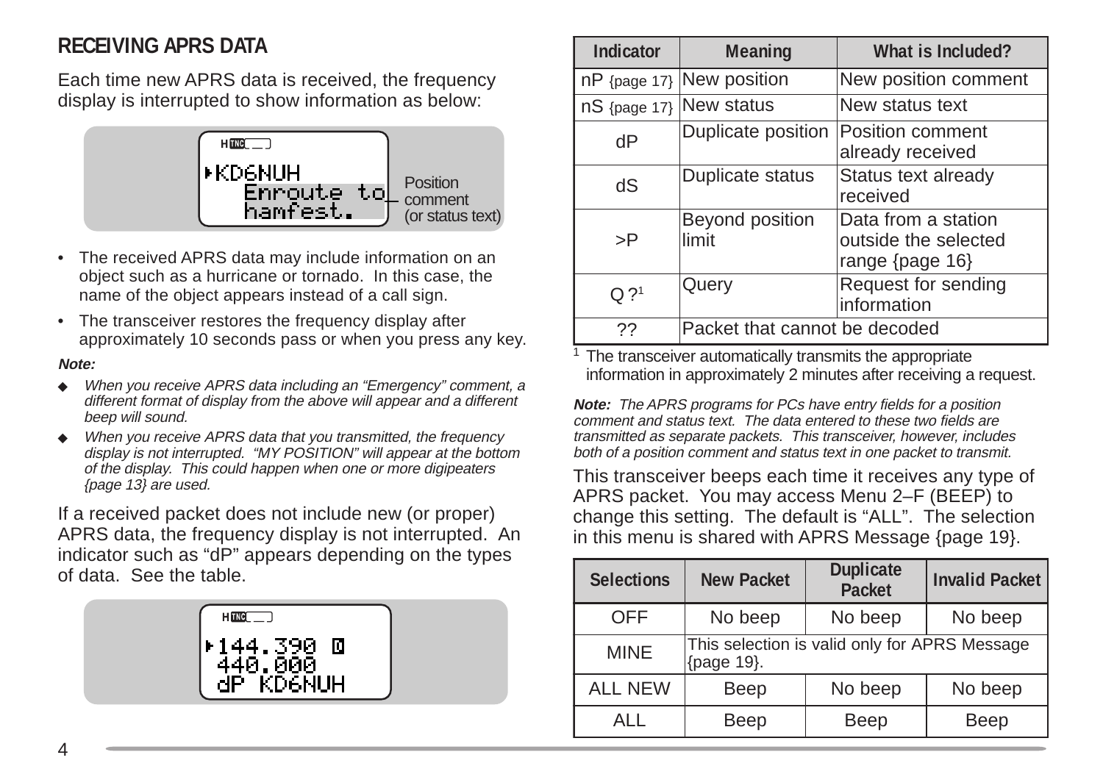#### **RECEIVING APRS DATA**

Each time new APRS data is received, the frequency display is interrupted to show information as below:



- The received APRS data may include information on an object such as a hurricane or tornado. In this case, the name of the object appears instead of a call sign.
- The transceiver restores the frequency display after approximately 10 seconds pass or when you press any key.

#### **Note:**

- ◆ When you receive APRS data including an "Emergency" comment, a different format of display from the above will appear and a different beep will sound.
- ◆ When you receive APRS data that you transmitted, the frequency display is not interrupted. "MY POSITION" will appear at the bottom of the display. This could happen when one or more digipeaters {page 13} are used.

If a received packet does not include new (or proper) APRS data, the frequency display is not interrupted. An indicator such as "dP" appears depending on the types of data. See the table.



| <b>Indicator</b> | Meaning                                      | What is Included?                                              |
|------------------|----------------------------------------------|----------------------------------------------------------------|
| $nP$ {page 17}   | New position                                 | New position comment                                           |
|                  | nS {page 17}   New status<br>New status text |                                                                |
| dP               | Duplicate position                           | Position comment<br>already received                           |
| dS               | Duplicate status                             | Status text already<br>received                                |
| >P               | Beyond position<br>limit                     | Data from a station<br>outside the selected<br>range {page 16} |
| O.21             | Query                                        | Request for sending<br>information                             |
| ??               | Packet that cannot be decoded                |                                                                |

<sup>1</sup> The transceiver automatically transmits the appropriate information in approximately 2 minutes after receiving a request.

**Note:** The APRS programs for PCs have entry fields for a position comment and status text. The data entered to these two fields are transmitted as separate packets. This transceiver, however, includes both of a position comment and status text in one packet to transmit.

This transceiver beeps each time it receives any type of APRS packet. You may access Menu 2–F (BEEP) to change this setting. The default is "ALL". The selection in this menu is shared with APRS Message {page 19}.

| <b>Selections</b> | <b>New Packet</b>                                           | <b>Duplicate</b><br>Packet | <b>Invalid Packet</b> |
|-------------------|-------------------------------------------------------------|----------------------------|-----------------------|
| <b>OFF</b>        | No beep                                                     | No beep                    | No beep               |
| <b>MINE</b>       | This selection is valid only for APRS Message<br>{page 19}. |                            |                       |
| <b>ALL NEW</b>    | Beep                                                        | No beep                    | No beep               |
| AI I              | Beep                                                        | Beep                       | Beep                  |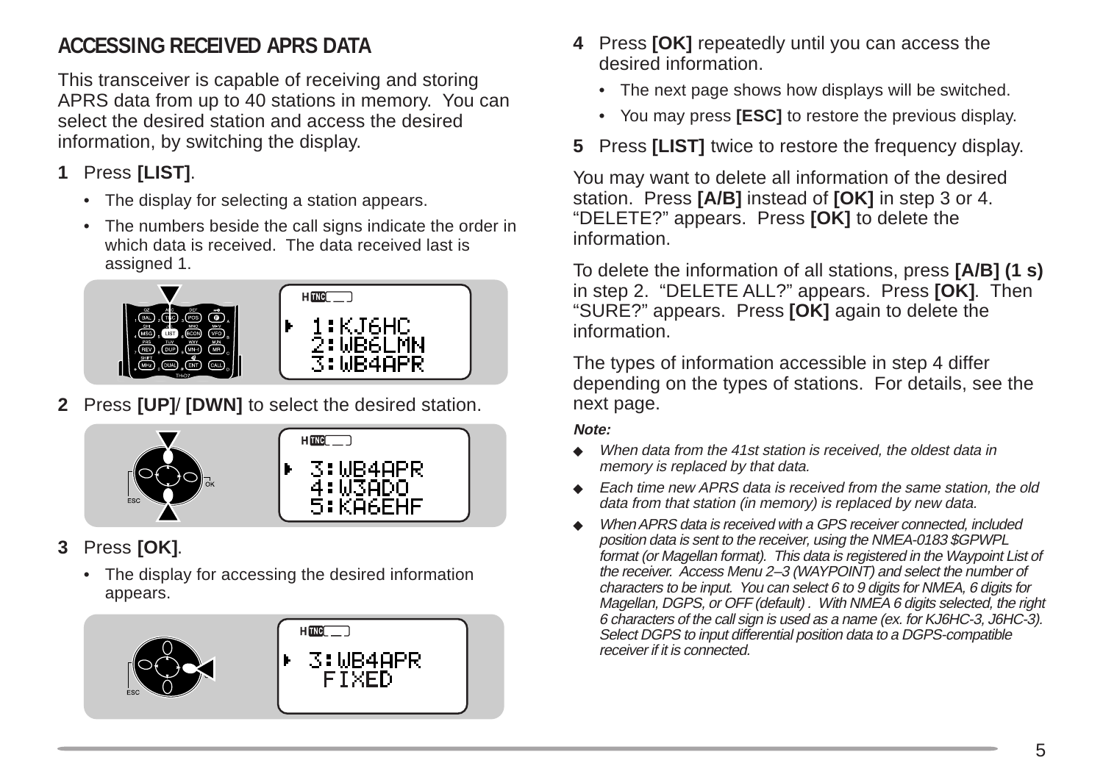## **ACCESSING RECEIVED APRS DATA**

This transceiver is capable of receiving and storing APRS data from up to 40 stations in memory. You can select the desired station and access the desired information, by switching the display.

- **1** Press **[LIST]**.
	- The display for selecting a station appears.
	- The numbers beside the call signs indicate the order in which data is received. The data received last is assigned 1.



**2** Press **[UP]**/ **[DWN]** to select the desired station.

![](_page_6_Figure_7.jpeg)

- **3** Press **[OK]**.
	- The display for accessing the desired information appears.

![](_page_6_Picture_10.jpeg)

- **4** Press **[OK]** repeatedly until you can access the desired information.
	- The next page shows how displays will be switched.
	- You may press **[ESC]** to restore the previous display.
- **5** Press **[LIST]** twice to restore the frequency display.

You may want to delete all information of the desired station. Press **[A/B]** instead of **[OK]** in step 3 or 4. "DELETE?" appears. Press **[OK]** to delete the information.

To delete the information of all stations, press **[A/B] (1 s)** in step 2. "DELETE ALL?" appears. Press **[OK]**. Then "SURE?" appears. Press **[OK]** again to delete the information.

The types of information accessible in step 4 differ depending on the types of stations. For details, see the next page.

#### **Note:**

- ◆ When data from the 41st station is received, the oldest data in memory is replaced by that data.
- ◆ Each time new APRS data is received from the same station, the old data from that station (in memory) is replaced by new data.
- When APRS data is received with a GPS receiver connected, included position data is sent to the receiver, using the NMEA-0183 \$GPWPL format (or Magellan format). This data is registered in the Waypoint List of the receiver. Access Menu 2–3 (WAYPOINT) and select the number of characters to be input. You can select 6 to 9 digits for NMEA, 6 digits for Magellan, DGPS, or OFF (default) . With NMEA 6 digits selected, the right 6 characters of the call sign is used as a name (ex. for KJ6HC-3, J6HC-3). Select DGPS to input differential position data to a DGPS-compatible receiver if it is connected.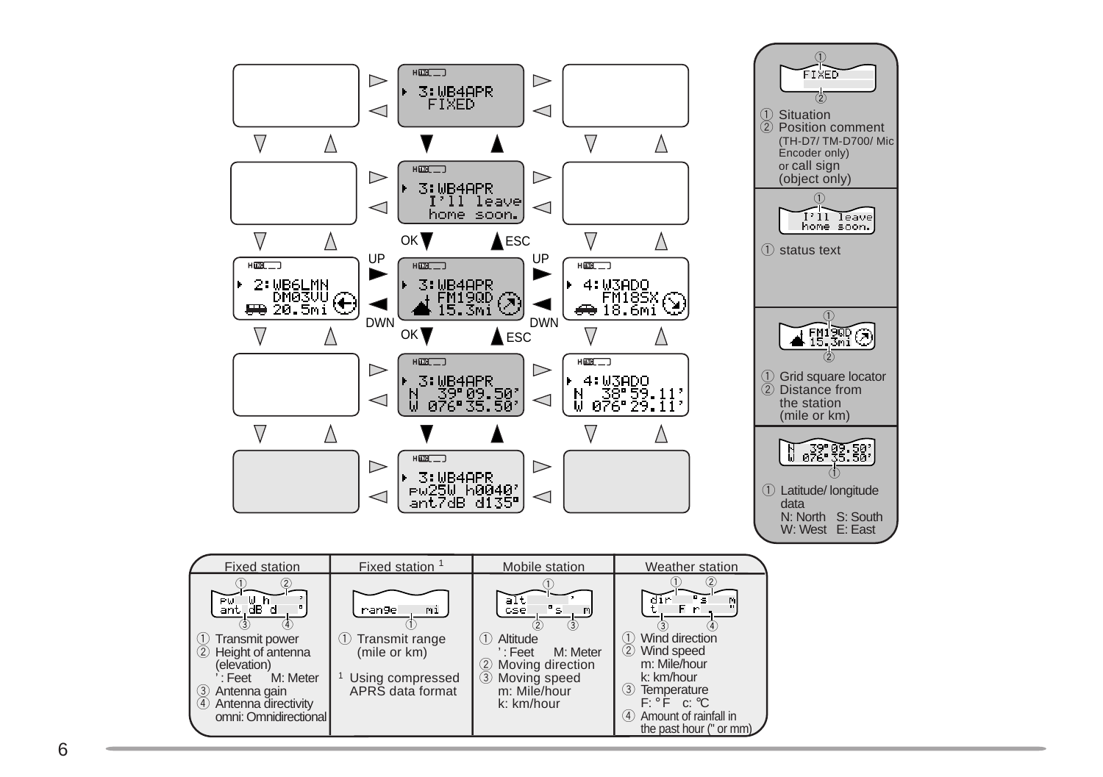![](_page_7_Figure_0.jpeg)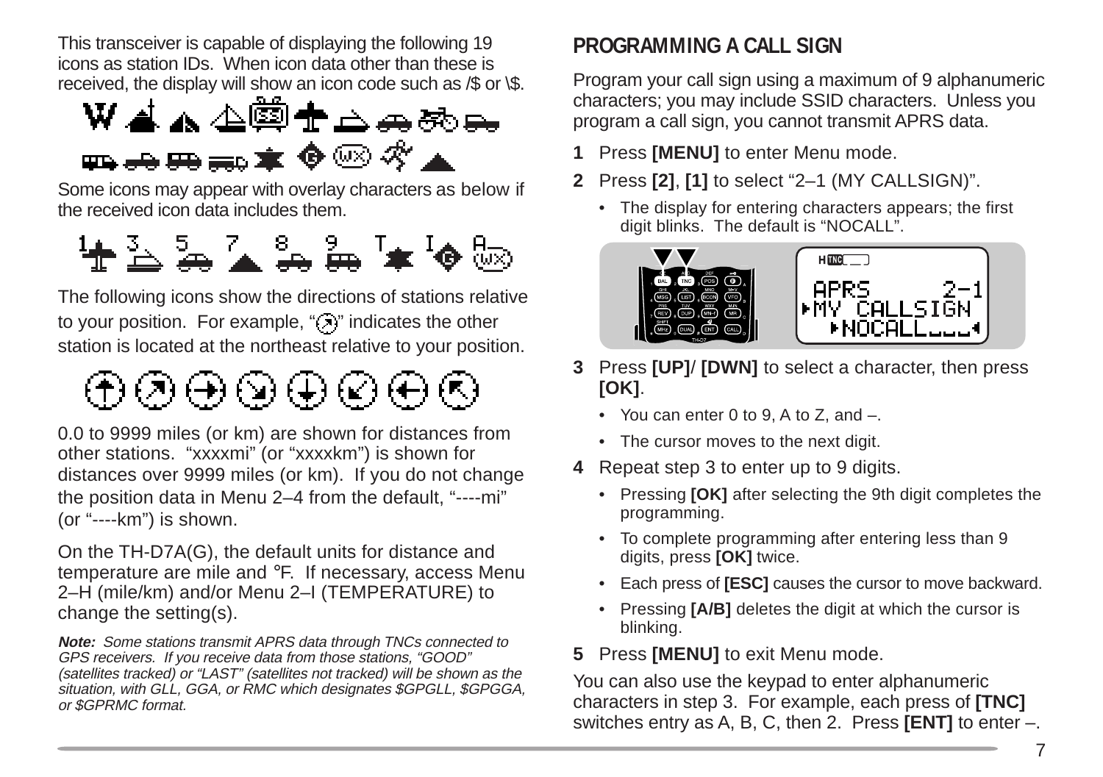This transceiver is capable of displaying the following 19 icons as station IDs. When icon data other than these is

![](_page_8_Figure_1.jpeg)

Some icons may appear with overlay characters as below if the received icon data includes them.

![](_page_8_Figure_3.jpeg)

The following icons show the directions of stations relative to your position. For example, " $(7)$ " indicates the other station is located at the northeast relative to your position.

⊕®⊕®⊕®⊕®

0.0 to 9999 miles (or km) are shown for distances from other stations. "xxxxmi" (or "xxxxkm") is shown for distances over 9999 miles (or km). If you do not change the position data in Menu 2–4 from the default, "----mi" (or "----km") is shown.

On the TH-D7A(G), the default units for distance and temperature are mile and °F. If necessary, access Menu 2–H (mile/km) and/or Menu 2–I (TEMPERATURE) to change the setting(s).

**Note:** Some stations transmit APRS data through TNCs connected to GPS receivers. If you receive data from those stations, "GOOD" (satellites tracked) or "LAST" (satellites not tracked) will be shown as the situation, with GLL, GGA, or RMC which designates \$GPGLL, \$GPGGA, or \$GPRMC format.

#### **PROGRAMMING A CALL SIGN**

Program your call sign using a maximum of 9 alphanumeric characters; you may include SSID characters. Unless you program a call sign, you cannot transmit APRS data.

- **1** Press **[MENU]** to enter Menu mode.
- **2** Press **[2]**, **[1]** to select "2–1 (MY CALLSIGN)".
	- The display for entering characters appears; the first digit blinks. The default is "NOCALL".

![](_page_8_Picture_14.jpeg)

- **3** Press **[UP]**/ **[DWN]** to select a character, then press **[OK]**.
	- You can enter 0 to 9, A to Z, and –.
	- The cursor moves to the next digit.
- **4** Repeat step 3 to enter up to 9 digits.
	- Pressing **[OK]** after selecting the 9th digit completes the programming.
	- To complete programming after entering less than 9 digits, press **[OK]** twice.
	- Each press of **[ESC]** causes the cursor to move backward.
	- Pressing **[A/B]** deletes the digit at which the cursor is blinking.

#### **5** Press **[MENU]** to exit Menu mode.

You can also use the keypad to enter alphanumeric characters in step 3. For example, each press of **[TNC]** switches entry as A, B, C, then 2. Press **[ENT]** to enter –.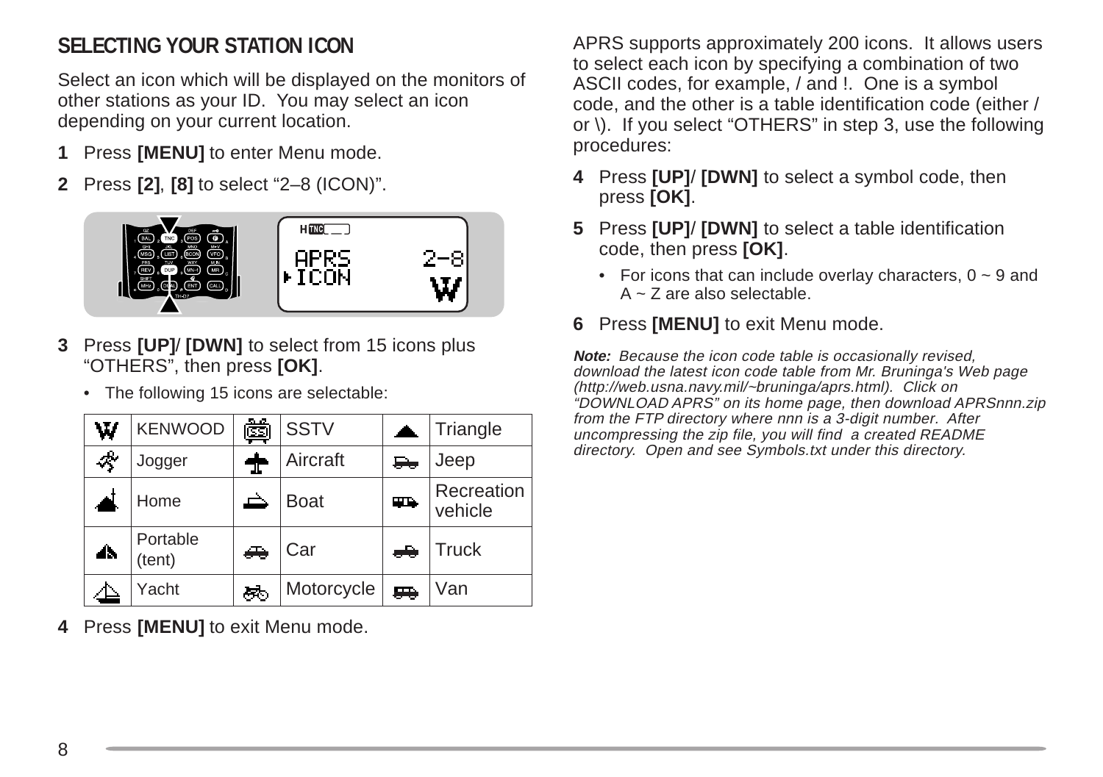## **SELECTING YOUR STATION ICON**

Select an icon which will be displayed on the monitors of other stations as your ID. You may select an icon depending on your current location.

- **1** Press **[MENU]** to enter Menu mode.
- **2** Press **[2]**, **[8]** to select "2–8 (ICON)".

![](_page_9_Picture_4.jpeg)

- **3** Press **[UP]**/ **[DWN]** to select from 15 icons plus "OTHERS", then press **[OK]**.
	- The following 15 icons are selectable:

| W   | <b>KENWOOD</b>     | Ò   | <b>SSTV</b> | л. | Triangle              |
|-----|--------------------|-----|-------------|----|-----------------------|
| Ą.  | Jogger             | 1   | Aircraft    | ⊷  | Jeep                  |
|     | Home               |     | <b>Boat</b> | 吗  | Recreation<br>vehicle |
| dh. | Portable<br>(tent) | A   | Car         | ÷  | <b>Truck</b>          |
|     | Yacht              | łт, | Motorcycle  | p. | Van                   |

**4** Press **[MENU]** to exit Menu mode.

APRS supports approximately 200 icons. It allows users to select each icon by specifying a combination of two ASCII codes, for example, / and !. One is a symbol code, and the other is a table identification code (either / or \). If you select "OTHERS" in step 3, use the following procedures:

- **4** Press **[UP]**/ **[DWN]** to select a symbol code, then press **[OK]**.
- **5** Press **[UP]**/ **[DWN]** to select a table identification code, then press **[OK]**.
	- For icons that can include overlay characters,  $0 \sim 9$  and A ~ Z are also selectable.

#### **6** Press **[MENU]** to exit Menu mode.

**Note:** Because the icon code table is occasionally revised, download the latest icon code table from Mr. Bruninga's Web page (http://web.usna.navy.mil/~bruninga/aprs.html). Click on "DOWNLOAD APRS" on its home page, then download APRSnnn.zip from the FTP directory where nnn is a 3-digit number. After uncompressing the zip file, you will find a created README directory. Open and see Symbols.txt under this directory.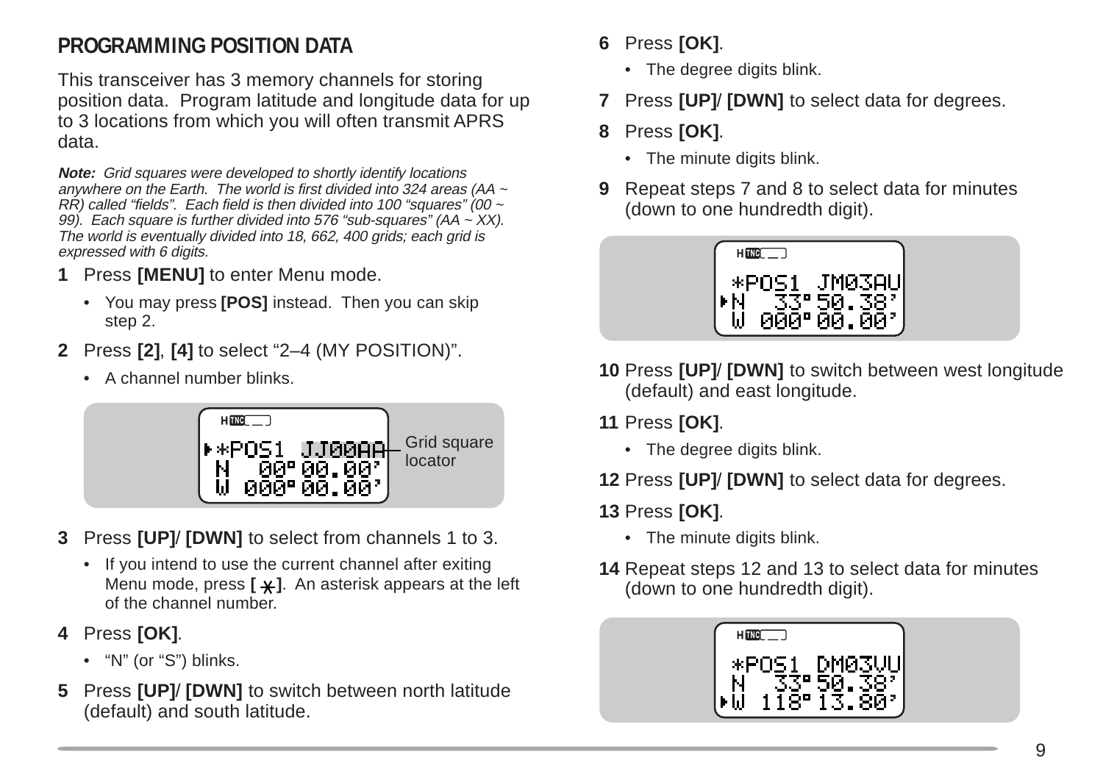## **PROGRAMMING POSITION DATA**

This transceiver has 3 memory channels for storing position data. Program latitude and longitude data for up to 3 locations from which you will often transmit APRS data.

**Note:** Grid squares were developed to shortly identify locations anywhere on the Earth. The world is first divided into 324 areas (AA ~  $R\hat{R}$ ) called "fields". Each field is then divided into 100 "squares" (00  $\sim$ 99). Each square is further divided into 576 "sub-squares" (AA  $\sim$  XX). The world is eventually divided into 18, 662, 400 grids; each grid is expressed with 6 digits.

- **1** Press **[MENU]** to enter Menu mode.
	- You may press **[POS]** instead. Then you can skip step 2.
- **2** Press **[2]**, **[4]** to select "2–4 (MY POSITION)".
	- A channel number blinks.

![](_page_10_Picture_7.jpeg)

- **3** Press **[UP]**/ **[DWN]** to select from channels 1 to 3.
	- If you intend to use the current channel after exiting Menu mode, press [ $\angle\angle$ ]. An asterisk appears at the left of the channel number.
- **4** Press **[OK]**.
	- "N" (or "S") blinks.
- **5** Press **[UP]**/ **[DWN]** to switch between north latitude (default) and south latitude.
- **6** Press **[OK]**.
	- The degree digits blink.
- **7** Press **[UP]**/ **[DWN]** to select data for degrees.
- **8** Press **[OK]**.
	- The minute digits blink.
- **9** Repeat steps 7 and 8 to select data for minutes (down to one hundredth digit).

![](_page_10_Picture_19.jpeg)

- **10** Press **[UP]**/ **[DWN]** to switch between west longitude (default) and east longitude.
- **11** Press **[OK]**.
	- The degree digits blink.
- **12** Press **[UP]**/ **[DWN]** to select data for degrees.

#### **13** Press **[OK]**.

- The minute digits blink.
- **14** Repeat steps 12 and 13 to select data for minutes (down to one hundredth digit).

![](_page_10_Picture_27.jpeg)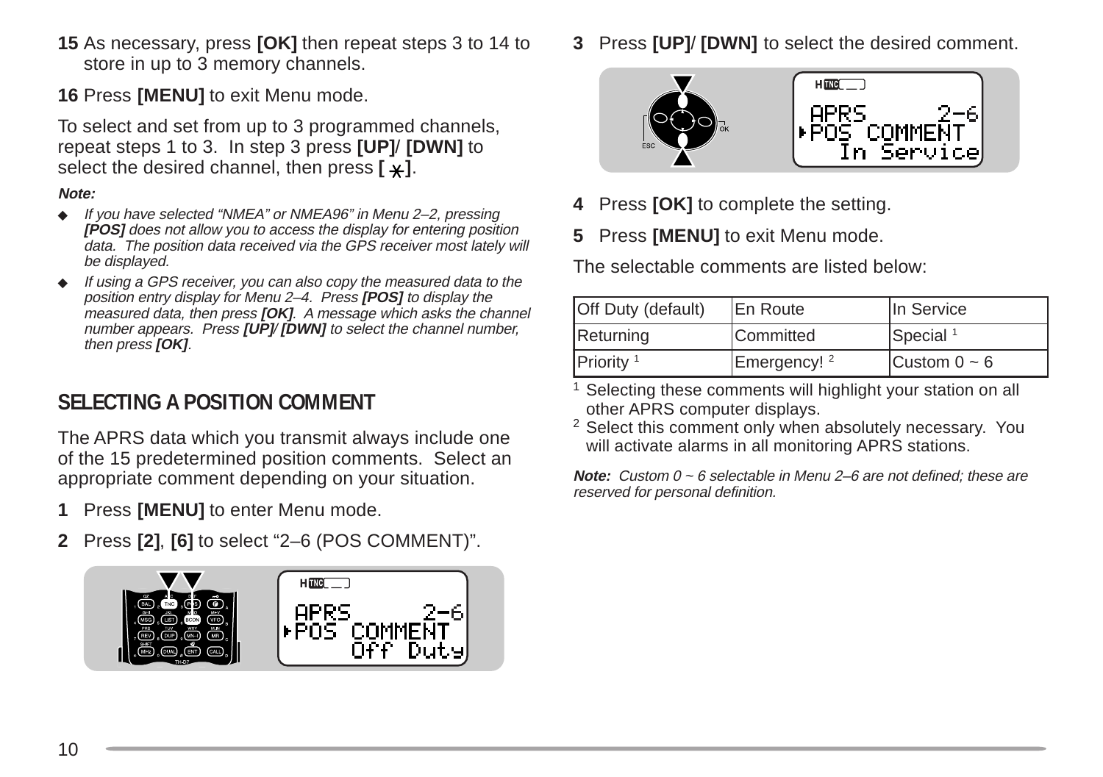- **15** As necessary, press **[OK]** then repeat steps 3 to 14 to store in up to 3 memory channels.
- **16** Press **[MENU]** to exit Menu mode.

To select and set from up to 3 programmed channels, repeat steps 1 to 3. In step 3 press **[UP]**/ **[DWN]** to select the desired channel, then press  $[\ast]$ .

#### **Note:**

- ◆ If you have selected "NMEA" or NMEA96" in Menu 2–2, pressing **[POS]** does not allow you to access the display for entering position data. The position data received via the GPS receiver most lately will be displayed.
- ◆ If using a GPS receiver, you can also copy the measured data to the position entry display for Menu 2–4. Press **[POS]** to display the measured data, then press **[OK]**. A message which asks the channel number appears. Press **[UP]**/ **[DWN]** to select the channel number, then press **[OK]**.

#### **SELECTING A POSITION COMMENT**

The APRS data which you transmit always include one of the 15 predetermined position comments. Select an appropriate comment depending on your situation.

- **1** Press **[MENU]** to enter Menu mode.
- **2** Press **[2]**, **[6]** to select "2–6 (POS COMMENT)".

![](_page_11_Picture_11.jpeg)

**3** Press **[UP]**/ **[DWN]** to select the desired comment.

![](_page_11_Picture_13.jpeg)

- **4** Press **[OK]** to complete the setting.
- **5** Press **[MENU]** to exit Menu mode.

The selectable comments are listed below:

| Off Duty (default)    | <b>IEn Route</b>        | lIn Service          |
|-----------------------|-------------------------|----------------------|
| Returning             | <b>Committed</b>        | Special <sup>1</sup> |
| Priority <sup>1</sup> | Emergency! <sup>2</sup> | Custom $0 \sim 6$    |

- <sup>1</sup> Selecting these comments will highlight your station on all other APRS computer displays.
- <sup>2</sup> Select this comment only when absolutely necessary. You will activate alarms in all monitoring APRS stations.

**Note:** Custom 0 ~ 6 selectable in Menu 2–6 are not defined; these are reserved for personal definition.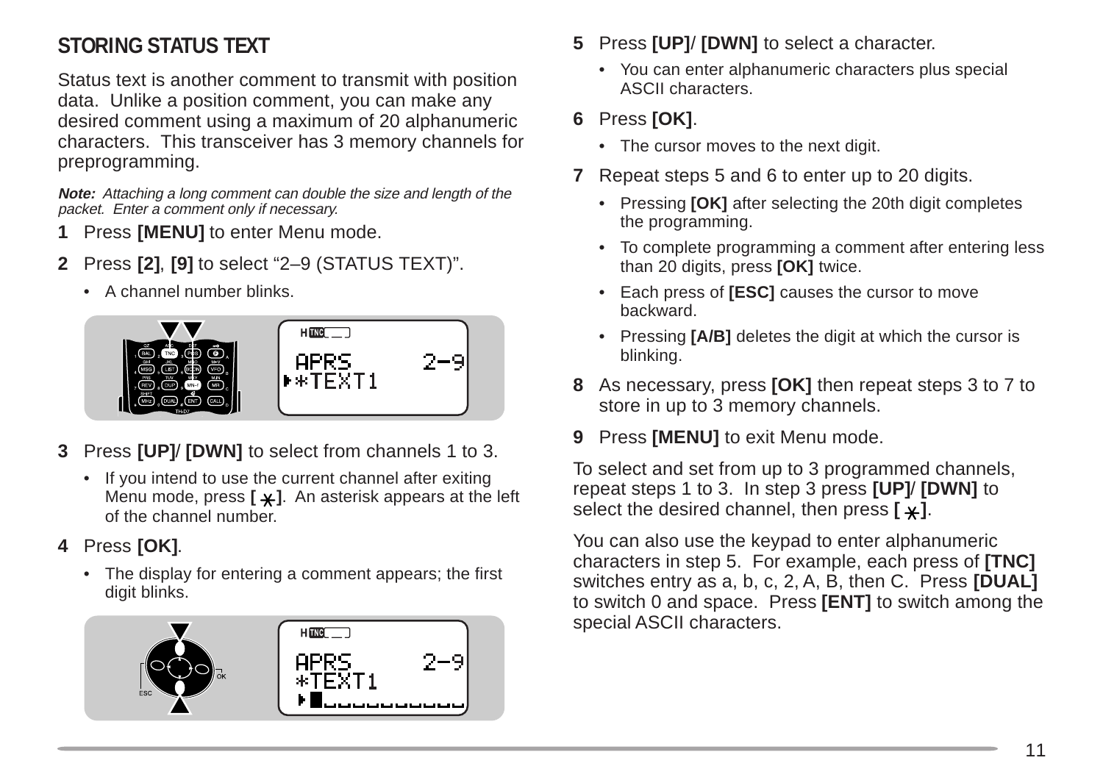## **STORING STATUS TEXT**

Status text is another comment to transmit with position data. Unlike a position comment, you can make any desired comment using a maximum of 20 alphanumeric characters. This transceiver has 3 memory channels for preprogramming.

**Note:** Attaching a long comment can double the size and length of the packet. Enter a comment only if necessary.

- **1** Press **[MENU]** to enter Menu mode.
- **2** Press **[2]**, **[9]** to select "2–9 (STATUS TEXT)".
	- A channel number blinks.

![](_page_12_Figure_6.jpeg)

- **3** Press **[UP]**/ **[DWN]** to select from channels 1 to 3.
	- If you intend to use the current channel after exiting Menu mode, press  $[\times]$ . An asterisk appears at the left of the channel number.
- **4** Press **[OK]**.
	- The display for entering a comment appears; the first digit blinks.

![](_page_12_Picture_11.jpeg)

- **5** Press **[UP]**/ **[DWN]** to select a character.
	- You can enter alphanumeric characters plus special ASCII characters.

#### **6** Press **[OK]**.

- The cursor moves to the next digit.
- **7** Repeat steps 5 and 6 to enter up to 20 digits.
	- Pressing **[OK]** after selecting the 20th digit completes the programming.
	- To complete programming a comment after entering less than 20 digits, press **[OK]** twice.
	- Each press of **[ESC]** causes the cursor to move backward.
	- Pressing **[A/B]** deletes the digit at which the cursor is blinking.
- **8** As necessary, press **[OK]** then repeat steps 3 to 7 to store in up to 3 memory channels.
- **9** Press **[MENU]** to exit Menu mode.

To select and set from up to 3 programmed channels, repeat steps 1 to 3. In step 3 press **[UP]**/ **[DWN]** to select the desired channel, then press  $[\times]$ .

You can also use the keypad to enter alphanumeric characters in step 5. For example, each press of **[TNC]** switches entry as a, b, c, 2, A, B, then C. Press **[DUAL]** to switch 0 and space. Press **[ENT]** to switch among the special ASCII characters.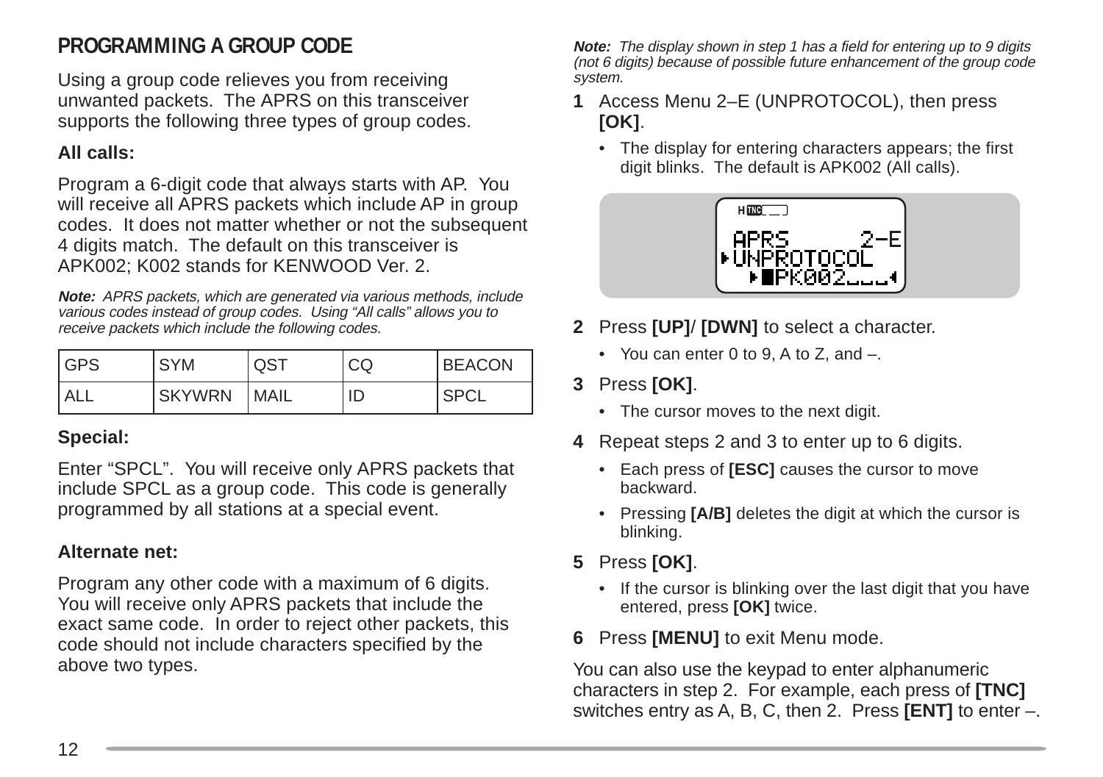#### **PROGRAMMING A GROUP CODE**

Using a group code relieves you from receiving unwanted packets. The APRS on this transceiver supports the following three types of group codes.

#### **All calls:**

Program a 6-digit code that always starts with AP. You will receive all APRS packets which include AP in group codes. It does not matter whether or not the subsequent 4 digits match. The default on this transceiver is APK002; K002 stands for KENWOOD Ver. 2.

**Note:** APRS packets, which are generated via various methods, include various codes instead of group codes. Using "All calls" allows you to receive packets which include the following codes.

| <b>IGPS</b> | <b>SYM</b>    | QST         | CQ | <b>BEACON</b> |
|-------------|---------------|-------------|----|---------------|
| <b>ALL</b>  | <b>SKYWRN</b> | <b>MAIL</b> | ID | ' SPCL        |

#### **Special:**

Enter "SPCL". You will receive only APRS packets that include SPCL as a group code. This code is generally programmed by all stations at a special event.

#### **Alternate net:**

Program any other code with a maximum of 6 digits. You will receive only APRS packets that include the exact same code. In order to reject other packets, this code should not include characters specified by the above two types.

**Note:** The display shown in step 1 has a field for entering up to 9 digits (not 6 digits) because of possible future enhancement of the group code system.

- **1** Access Menu 2–E (UNPROTOCOL), then press **[OK]**.
	- The display for entering characters appears; the first digit blinks. The default is APK002 (All calls).

![](_page_13_Picture_13.jpeg)

- **2** Press **[UP]**/ **[DWN]** to select a character.
	- You can enter 0 to 9, A to Z, and –.
- **3** Press **[OK]**.
	- The cursor moves to the next digit.
- **4** Repeat steps 2 and 3 to enter up to 6 digits.
	- Each press of **[ESC]** causes the cursor to move backward.
	- Pressing **[A/B]** deletes the digit at which the cursor is blinking.
- **5** Press **[OK]**.
	- If the cursor is blinking over the last digit that you have entered, press **[OK]** twice.
- **6** Press **[MENU]** to exit Menu mode.

You can also use the keypad to enter alphanumeric characters in step 2. For example, each press of **[TNC]** switches entry as A, B, C, then 2. Press **[ENT]** to enter –.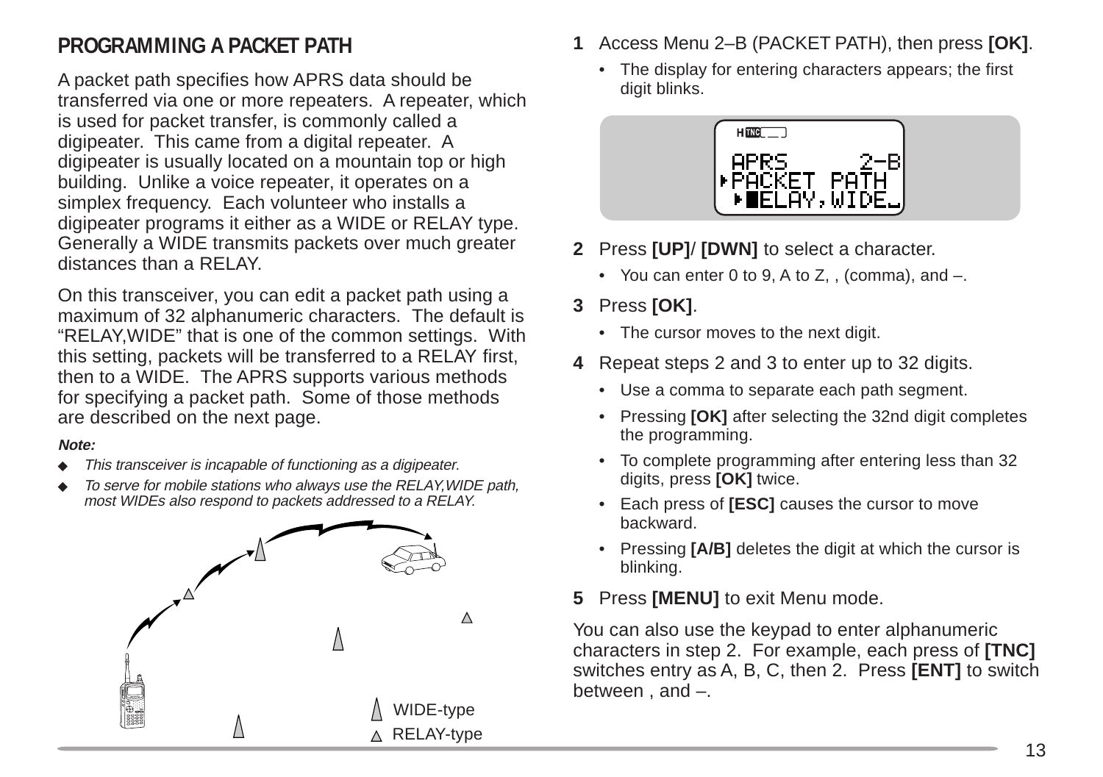#### **PROGRAMMING A PACKET PATH**

A packet path specifies how APRS data should be transferred via one or more repeaters. A repeater, which is used for packet transfer, is commonly called a digipeater. This came from a digital repeater. A digipeater is usually located on a mountain top or high building. Unlike a voice repeater, it operates on a simplex frequency. Each volunteer who installs a digipeater programs it either as a WIDE or RELAY type. Generally a WIDE transmits packets over much greater distances than a RELAY.

On this transceiver, you can edit a packet path using a maximum of 32 alphanumeric characters. The default is "RELAY,WIDE" that is one of the common settings. With this setting, packets will be transferred to a RELAY first, then to a WIDE. The APRS supports various methods for specifying a packet path. Some of those methods are described on the next page.

#### **Note:**

- ◆ This transceiver is incapable of functioning as a digipeater.
- ◆ To serve for mobile stations who always use the RELAY, WIDE path, most WIDEs also respond to packets addressed to a RELAY.

![](_page_14_Figure_6.jpeg)

- **1** Access Menu 2–B (PACKET PATH), then press **[OK]**.
	- The display for entering characters appears; the first digit blinks.

![](_page_14_Picture_9.jpeg)

- **2** Press **[UP]**/ **[DWN]** to select a character.
	- You can enter 0 to 9, A to Z, , (comma), and  $-$ .
- **3** Press **[OK]**.
	- The cursor moves to the next digit.
- **4** Repeat steps 2 and 3 to enter up to 32 digits.
	- Use a comma to separate each path segment.
	- Pressing **[OK]** after selecting the 32nd digit completes the programming.
	- To complete programming after entering less than 32 digits, press **[OK]** twice.
	- Each press of **[ESC]** causes the cursor to move backward.
	- Pressing **[A/B]** deletes the digit at which the cursor is blinking.
- **5** Press **[MENU]** to exit Menu mode.

You can also use the keypad to enter alphanumeric characters in step 2. For example, each press of **[TNC]** switches entry as A, B, C, then 2. Press **[ENT]** to switch between , and –.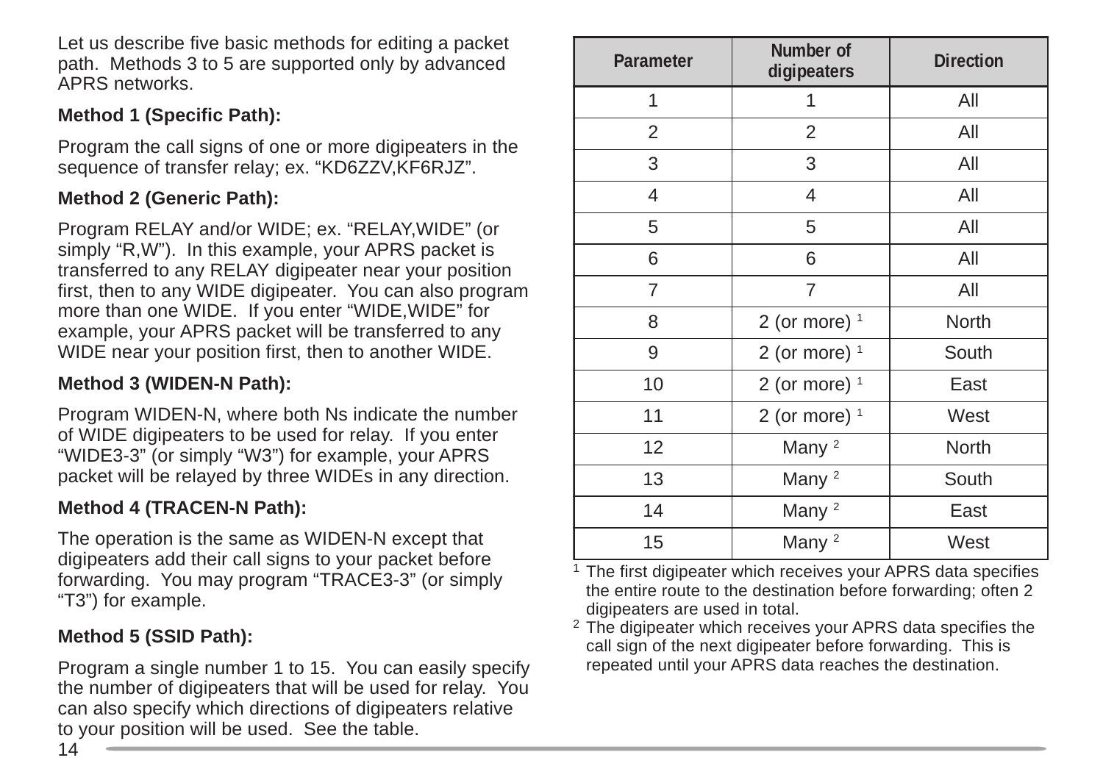Let us describe five basic methods for editing a packet path. Methods 3 to 5 are supported only by advanced APRS networks.

#### **Method 1 (Specific Path):**

Program the call signs of one or more digipeaters in the sequence of transfer relay; ex. "KD6ZZV,KF6RJZ".

#### **Method 2 (Generic Path):**

Program RELAY and/or WIDE; ex. "RELAY,WIDE" (or simply "R,W"). In this example, your APRS packet is transferred to any RELAY digipeater near your position first, then to any WIDE digipeater. You can also program more than one WIDE. If you enter "WIDE,WIDE" for example, your APRS packet will be transferred to any WIDE near your position first, then to another WIDE.

#### **Method 3 (WIDEN-N Path):**

Program WIDEN-N, where both Ns indicate the number of WIDE digipeaters to be used for relay. If you enter "WIDE3-3" (or simply "W3") for example, your APRS packet will be relayed by three WIDEs in any direction.

#### **Method 4 (TRACEN-N Path):**

The operation is the same as WIDEN-N except that digipeaters add their call signs to your packet before forwarding. You may program "TRACE3-3" (or simply "T3") for example.

#### **Method 5 (SSID Path):**

Program a single number 1 to 15. You can easily specify the number of digipeaters that will be used for relay. You can also specify which directions of digipeaters relative to your position will be used. See the table.

| Parameter | Number of<br>digipeaters | <b>Direction</b> |
|-----------|--------------------------|------------------|
| 1         | 1                        | All              |
| 2         | 2                        | All              |
| 3         | 3                        | All              |
| 4         | 4                        | All              |
| 5         | 5                        | All              |
| 6         | 6                        | All              |
| 7         | $\overline{7}$           | All              |
| 8         | 2 (or more) $1$          | North            |
| 9         | 2 (or more) $1$          | South            |
| 10        | 2 (or more) $1$          | East             |
| 11        | 2 (or more) $1$          | West             |
| 12        | Many <sup>2</sup>        | North            |
| 13        | Many <sup>2</sup>        | South            |
| 14        | Many <sup>2</sup>        | East             |
| 15        | Many <sup>2</sup>        | West             |

<sup>1</sup> The first digipeater which receives your APRS data specifies the entire route to the destination before forwarding; often 2 digipeaters are used in total.

<sup>2</sup> The digipeater which receives your APRS data specifies the call sign of the next digipeater before forwarding. This is repeated until your APRS data reaches the destination.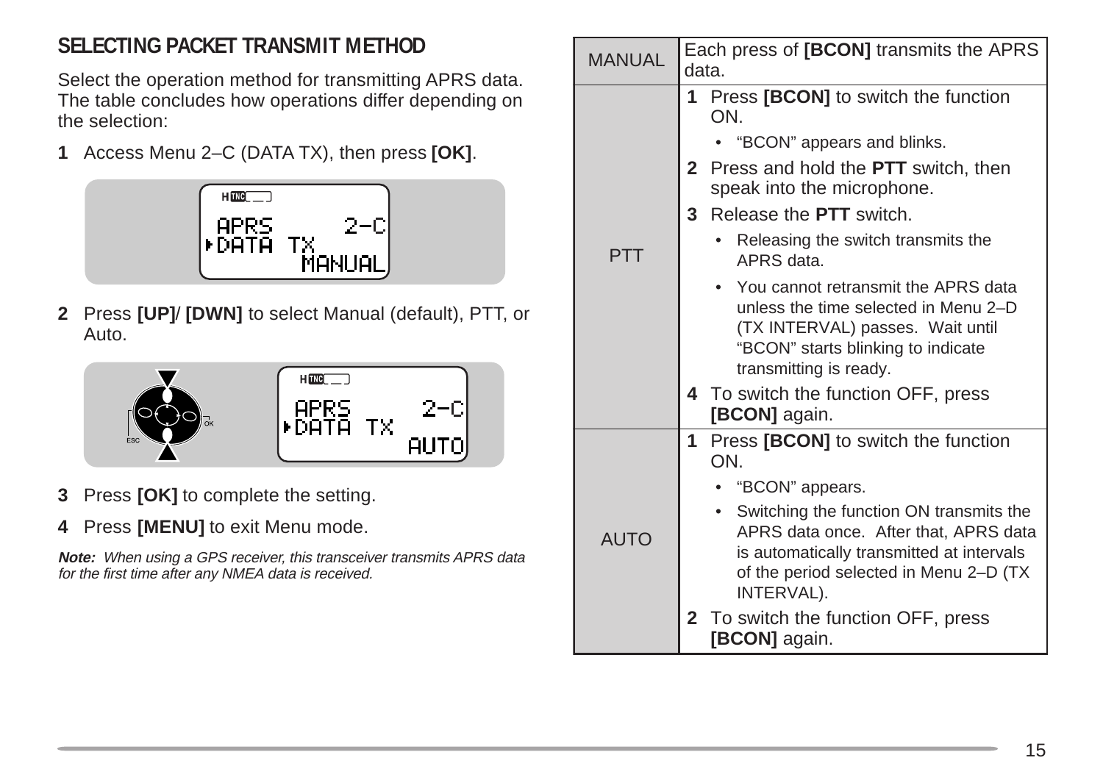## **SELECTING PACKET TRANSMIT METHOD**

Select the operation method for transmitting APRS data. The table concludes how operations differ depending on the selection:

**1** Access Menu 2–C (DATA TX), then press **[OK]**.

![](_page_16_Picture_3.jpeg)

**2** Press **[UP]**/ **[DWN]** to select Manual (default), PTT, or Auto.

![](_page_16_Picture_5.jpeg)

- **3** Press **[OK]** to complete the setting.
- **4** Press **[MENU]** to exit Menu mode.

**Note:** When using a GPS receiver, this transceiver transmits APRS data for the first time after any NMEA data is received.

| <b>MANUAL</b> | Each press of [BCON] transmits the APRS<br>data. |                                                                                                                                                                         |  |
|---------------|--------------------------------------------------|-------------------------------------------------------------------------------------------------------------------------------------------------------------------------|--|
|               | 1.<br>ON.                                        | Press [BCON] to switch the function                                                                                                                                     |  |
|               |                                                  | "BCON" appears and blinks.                                                                                                                                              |  |
|               | $\mathbf{2}$<br>speak into the microphone.       | Press and hold the <b>PTT</b> switch, then                                                                                                                              |  |
|               | Release the <b>PTT</b> switch.<br>3              |                                                                                                                                                                         |  |
| <b>PTT</b>    | APRS data.                                       | Releasing the switch transmits the                                                                                                                                      |  |
|               | transmitting is ready.                           | You cannot retransmit the APRS data<br>unless the time selected in Menu $2-D$<br>(TX INTERVAL) passes. Wait until<br>"BCON" starts blinking to indicate                 |  |
|               | [BCON] again.                                    | 4 To switch the function OFF, press                                                                                                                                     |  |
|               | ON.                                              | Press [BCON] to switch the function                                                                                                                                     |  |
|               | "BCON" appears.                                  |                                                                                                                                                                         |  |
| <b>AUTO</b>   | $\bullet$<br>INTERVAL).                          | Switching the function ON transmits the<br>APRS data once. After that, APRS data<br>is automatically transmitted at intervals<br>of the period selected in Menu 2–D (TX |  |
|               | [BCON] again.                                    | 2 To switch the function OFF, press                                                                                                                                     |  |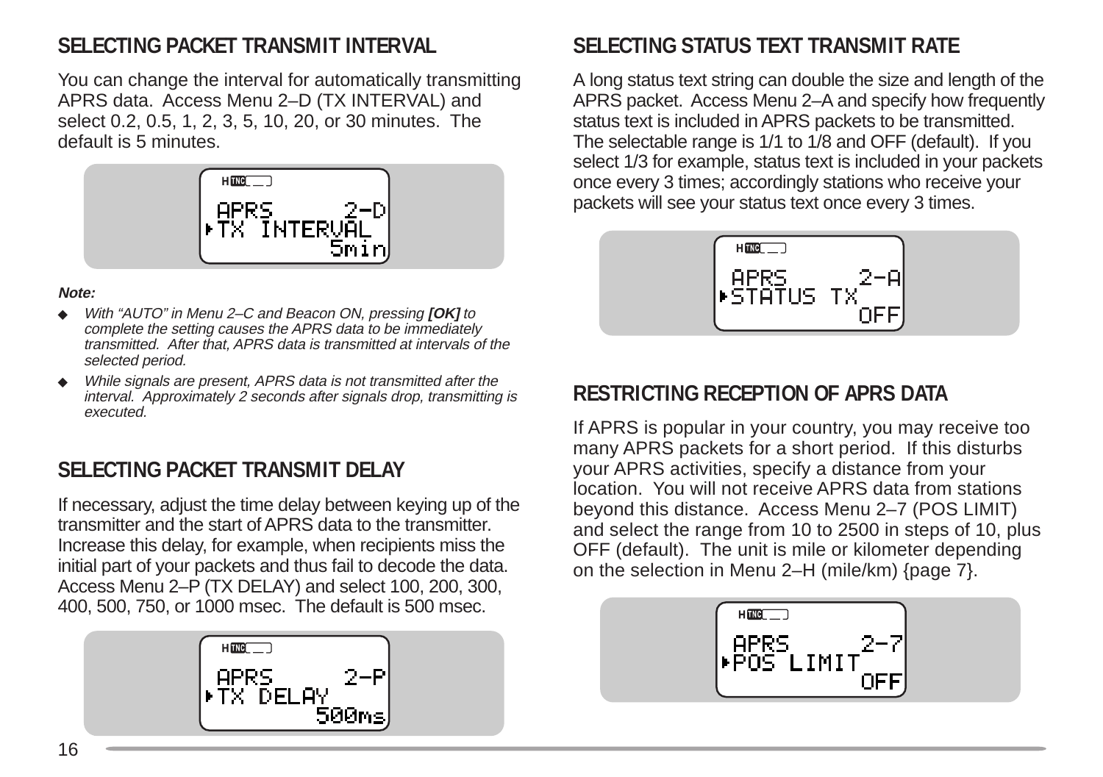## **SELECTING PACKET TRANSMIT INTERVAL**

You can change the interval for automatically transmitting APRS data. Access Menu 2–D (TX INTERVAL) and select 0.2, 0.5, 1, 2, 3, 5, 10, 20, or 30 minutes. The default is 5 minutes.

![](_page_17_Figure_2.jpeg)

#### **Note:**

- ◆ With "AUTO" in Menu 2–C and Beacon ON, pressing **[OK]** to complete the setting causes the APRS data to be immediately transmitted. After that, APRS data is transmitted at intervals of the selected period.
- ◆ While signals are present, APRS data is not transmitted after the interval. Approximately 2 seconds after signals drop, transmitting is executed.

#### **SELECTING PACKET TRANSMIT DELAY**

If necessary, adjust the time delay between keying up of the transmitter and the start of APRS data to the transmitter. Increase this delay, for example, when recipients miss the initial part of your packets and thus fail to decode the data. Access Menu 2–P (TX DELAY) and select 100, 200, 300, 400, 500, 750, or 1000 msec. The default is 500 msec.

![](_page_17_Figure_8.jpeg)

## **SELECTING STATUS TEXT TRANSMIT RATE**

A long status text string can double the size and length of the APRS packet. Access Menu 2–A and specify how frequently status text is included in APRS packets to be transmitted. The selectable range is 1/1 to 1/8 and OFF (default). If you select 1/3 for example, status text is included in your packets once every 3 times; accordingly stations who receive your packets will see your status text once every 3 times.

![](_page_17_Picture_11.jpeg)

#### **RESTRICTING RECEPTION OF APRS DATA**

If APRS is popular in your country, you may receive too many APRS packets for a short period. If this disturbs your APRS activities, specify a distance from your location. You will not receive APRS data from stations beyond this distance. Access Menu 2–7 (POS LIMIT) and select the range from 10 to 2500 in steps of 10, plus OFF (default). The unit is mile or kilometer depending on the selection in Menu 2–H (mile/km) {page 7}.

![](_page_17_Picture_14.jpeg)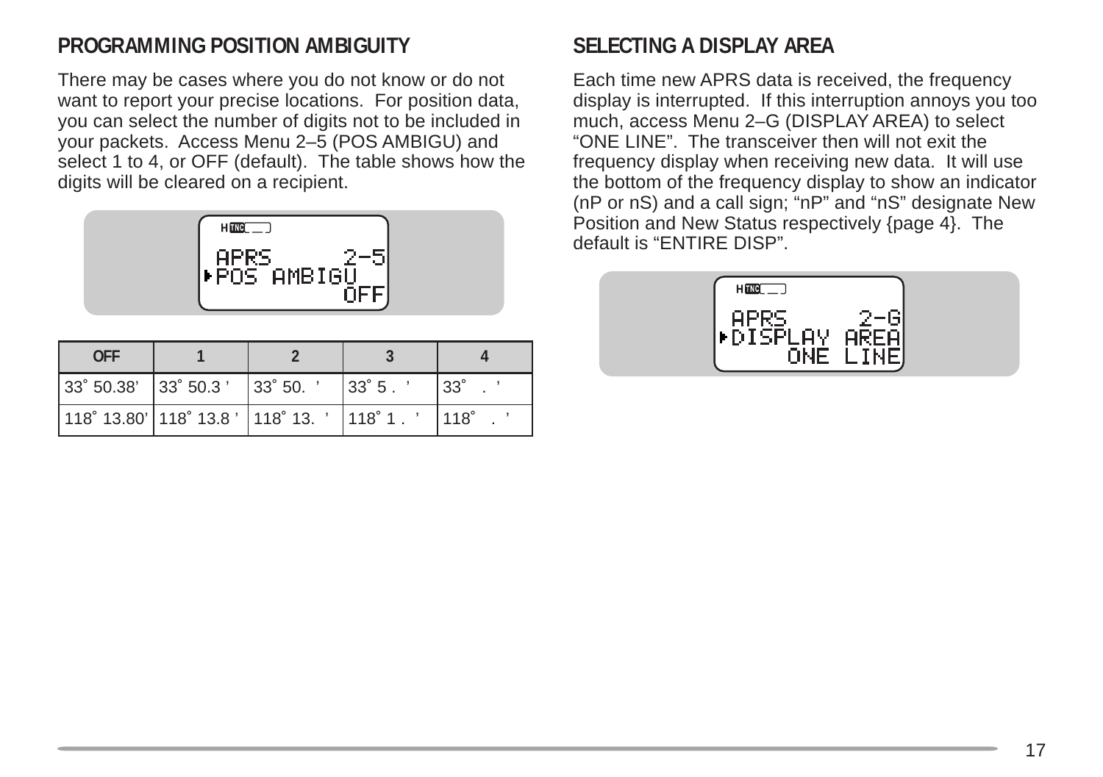#### **PROGRAMMING POSITION AMBIGUITY**

There may be cases where you do not know or do not want to report your precise locations. For position data, you can select the number of digits not to be included in your packets. Access Menu 2–5 (POS AMBIGU) and select 1 to 4, or OFF (default). The table shows how the digits will be cleared on a recipient.

| طi⊢PosTameie |  |
|--------------|--|

| <b>OFF</b>                                      |        |                  |              |  |  |
|-------------------------------------------------|--------|------------------|--------------|--|--|
| $ 33°50.38'$ $ 33°50.3'$                        | 33°50. | $ 33^\circ 5 $ . | $33^\circ$   |  |  |
| $ 118°13.80'$ $ 118°13.8'$ $ 118°13.$ $ 118°1.$ |        |                  | $1118^\circ$ |  |  |

#### **SELECTING A DISPLAY AREA**

Each time new APRS data is received, the frequency display is interrupted. If this interruption annoys you too much, access Menu 2–G (DISPLAY AREA) to select "ONE LINE". The transceiver then will not exit the frequency display when receiving new data. It will use the bottom of the frequency display to show an indicator (nP or nS) and a call sign; "nP" and "nS" designate New Position and New Status respectively {page 4}. The default is "ENTIRE DISP".

![](_page_18_Picture_6.jpeg)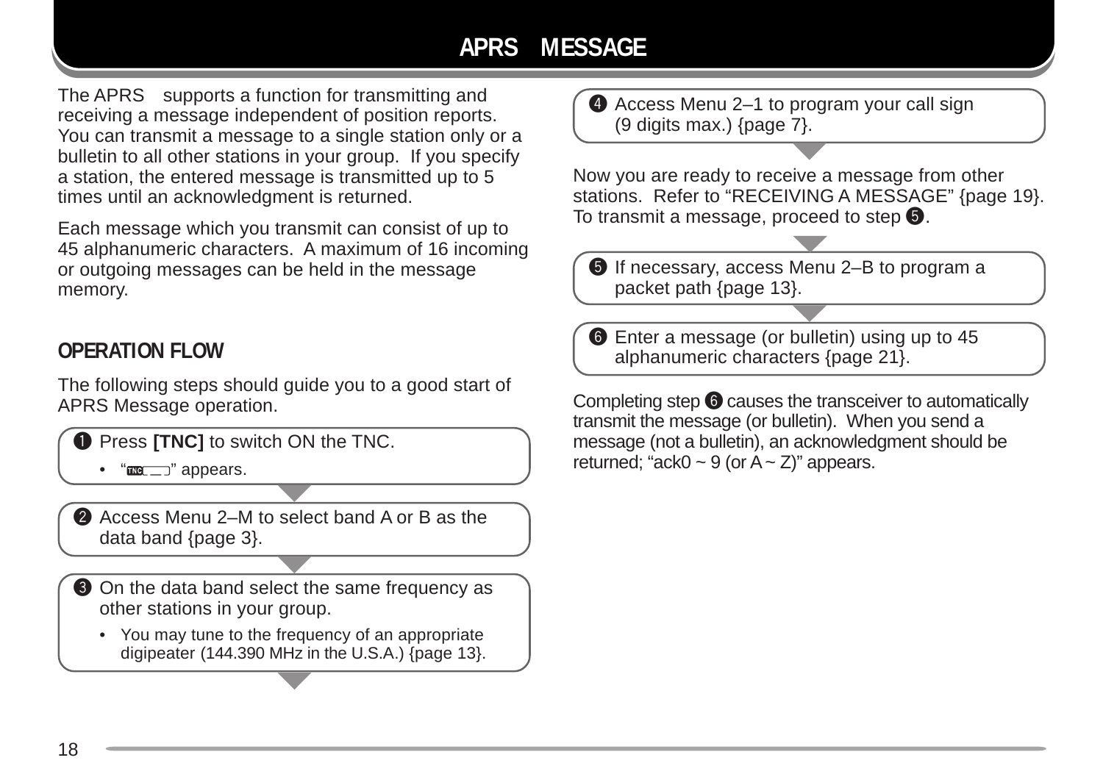## **APRS MESSAGE**

The APRS<sub> $\circ$ </sub> supports a function for transmitting and receiving a message independent of position reports. You can transmit a message to a single station only or a bulletin to all other stations in your group. If you specify a station, the entered message is transmitted up to 5 times until an acknowledgment is returned.

Each message which you transmit can consist of up to 45 alphanumeric characters. A maximum of 16 incoming or outgoing messages can be held in the message memory.

#### **OPERATION FLOW**

The following steps should guide you to a good start of APRS Message operation.

**Q** Press **[TNC]** to switch ON the TNC.

 $\bullet$  " $\text{m}$  $\text{m}$ " appears.

A Access Menu 2–M to select band A or B as the data band {page 3}.

**O** On the data band select the same frequency as other stations in your group.

• You may tune to the frequency of an appropriate digipeater (144.390 MHz in the U.S.A.) {page 13}. **4** Access Menu 2–1 to program your call sign (9 digits max.) {page 7}.

Now you are ready to receive a message from other stations. Refer to "RECEIVING A MESSAGE" {page 19}. To transmit a message, proceed to step  $\mathbf \Theta$ .

 $\bullet$  If necessary, access Menu 2–B to program a packet path {page 13}.

**O** Enter a message (or bulletin) using up to 45 alphanumeric characters {page 21}.

transmit the message (or bulletin). When you send a message (not a bulletin), an acknowledgment should be returned; "ack0  $\sim$  9 (or A  $\sim$  Z)" appears.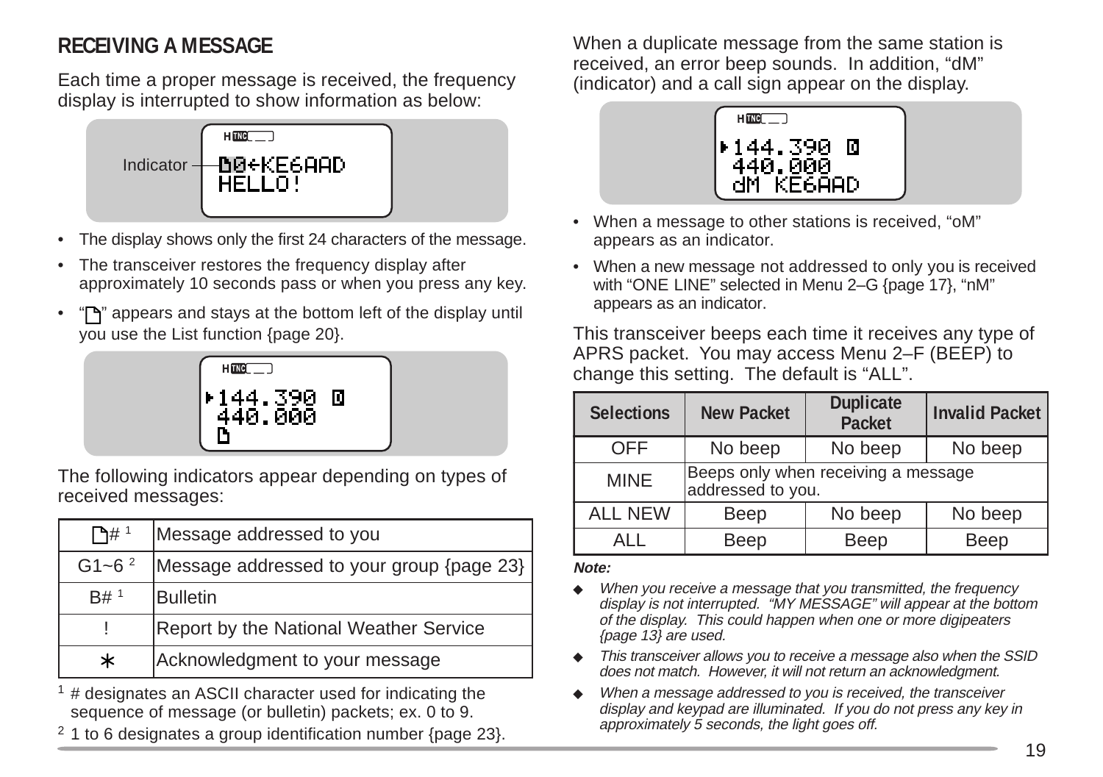## **RECEIVING A MESSAGE**

Each time a proper message is received, the frequency display is interrupted to show information as below:

![](_page_20_Figure_2.jpeg)

- The display shows only the first 24 characters of the message.
- The transceiver restores the frequency display after approximately 10 seconds pass or when you press any key.
- "If" appears and stays at the bottom left of the display until you use the List function {page 20}.

![](_page_20_Figure_6.jpeg)

The following indicators appear depending on types of received messages:

| $\mathsf{P}_{\mathsf{H}}$ 1 | Message addressed to you                  |
|-----------------------------|-------------------------------------------|
| $G1 - 6^2$                  | Message addressed to your group {page 23} |
| B# <sup>1</sup>             | <b>Bulletin</b>                           |
|                             | Report by the National Weather Service    |
| $\ast$                      | Acknowledgment to your message            |

 $1$  # designates an ASCII character used for indicating the sequence of message (or bulletin) packets; ex. 0 to 9.

 $2$  1 to 6 designates a group identification number {page 23}.

When a duplicate message from the same station is received, an error beep sounds. In addition, "dM" (indicator) and a call sign appear on the display.

![](_page_20_Picture_12.jpeg)

- When a message to other stations is received, "oM" appears as an indicator.
- When a new message not addressed to only you is received with "ONE LINE" selected in Menu 2–G {page 17}, "nM" appears as an indicator.

This transceiver beeps each time it receives any type of APRS packet. You may access Menu 2–F (BEEP) to change this setting. The default is "ALL".

| I 144.390 O<br>440.000                                          |  | <b>Selections</b> | <b>New Packet</b>                                        | <b>Duplicate</b><br>Packet | Invalid Packet |
|-----------------------------------------------------------------|--|-------------------|----------------------------------------------------------|----------------------------|----------------|
|                                                                 |  | OFF               | No beep                                                  | No beep                    | No beep        |
| llowing indicators appear depending on types of<br>ed messages: |  | <b>MINE</b>       | Beeps only when receiving a message<br>addressed to you. |                            |                |
|                                                                 |  | <b>ALL NEW</b>    | Beep                                                     | No beep                    | No beep        |
| # 1<br>Message addressed to you                                 |  | ALL               | Beep                                                     | <b>Beep</b>                | Beep           |

#### **Note:**

- When you receive a message that you transmitted, the frequency display is not interrupted. "MY MESSAGE" will appear at the bottom of the display. This could happen when one or more digipeaters {page 13} are used.
- ◆ This transceiver allows you to receive a message also when the SSID does not match. However, it will not return an acknowledgment.
- When a message addressed to you is received, the transceiver display and keypad are illuminated. If you do not press any key in approximately 5 seconds, the light goes off.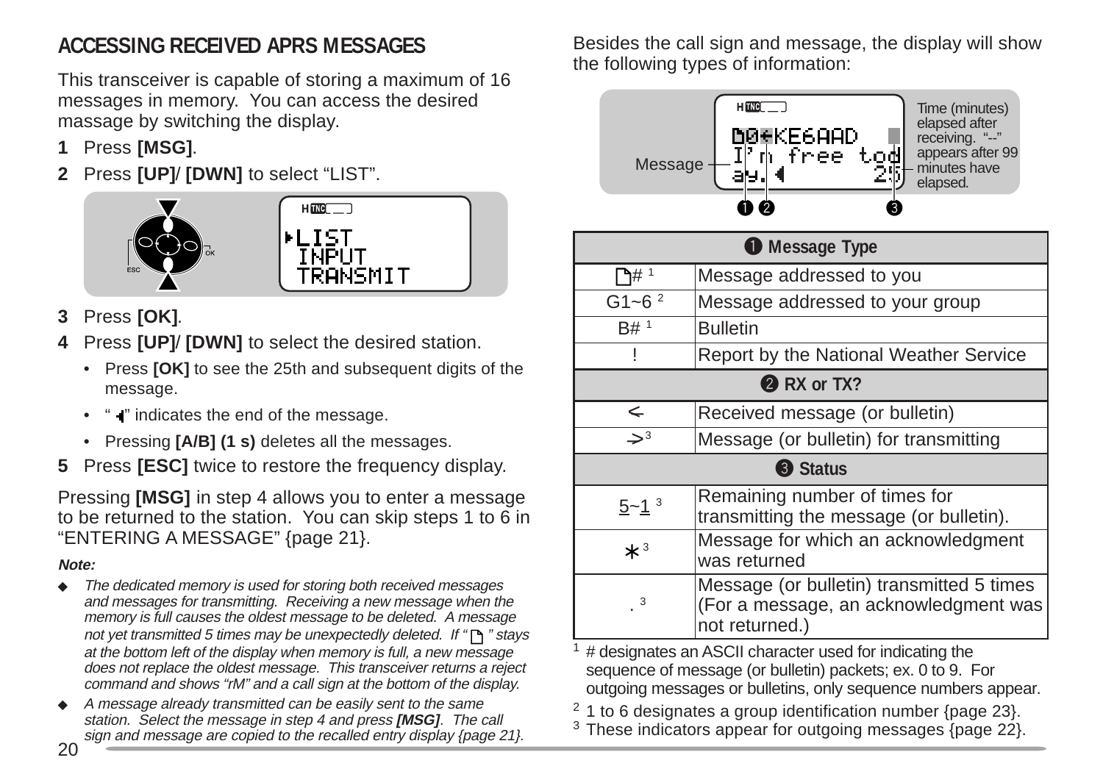## **ACCESSING RECEIVED APRS MESSAGES**

This transceiver is capable of storing a maximum of 16 messages in memory. You can access the desired massage by switching the display.

- **1** Press **[MSG]**.
- **2** Press **[UP]**/ **[DWN]** to select "LIST".

![](_page_21_Picture_4.jpeg)

- **3** Press **[OK]**.
- **4** Press **[UP]**/ **[DWN]** to select the desired station.
	- Press **[OK]** to see the 25th and subsequent digits of the message.
	- " " indicates the end of the message.
	- Pressing **[A/B] (1 s)** deletes all the messages.
- **5** Press **[ESC]** twice to restore the frequency display.

Pressing **[MSG]** in step 4 allows you to enter a message to be returned to the station. You can skip steps 1 to 6 in "ENTERING A MESSAGE" {page 21}.

#### **Note:**

- The dedicated memory is used for storing both received messages and messages for transmitting. Receiving a new message when the memory is full causes the oldest message to be deleted. A message not yet transmitted 5 times may be unexpectedly deleted. If " $\bigcap$ " stays at the bottom left of the display when memory is full, a new message does not replace the oldest message. This transceiver returns a reject command and shows "rM" and a call sign at the bottom of the display.
- A message already transmitted can be easily sent to the same station. Select the message in step 4 and press **[MSG]**. The call sign and message are copied to the recalled entry display {page 21}.

Besides the call sign and message, the display will show the following types of information:

![](_page_21_Figure_16.jpeg)

| <b>O</b> Message Type      |                                                                                                      |  |  |
|----------------------------|------------------------------------------------------------------------------------------------------|--|--|
| ጉ# 1                       | Message addressed to you                                                                             |  |  |
| G1~6 $^{2}$                | Message addressed to your group                                                                      |  |  |
| B# <sup>1</sup>            | <b>Bulletin</b>                                                                                      |  |  |
|                            | Report by the National Weather Service                                                               |  |  |
| <b>2</b> RX or TX?         |                                                                                                      |  |  |
| ←                          | Received message (or bulletin)                                                                       |  |  |
| $\Rightarrow$ <sup>3</sup> | Message (or bulletin) for transmitting                                                               |  |  |
| <b>3</b> Status            |                                                                                                      |  |  |
| $5 - 1$ <sup>3</sup>       | Remaining number of times for<br>transmitting the message (or bulletin).                             |  |  |
| $*^3$                      | Message for which an acknowledgment<br>was returned                                                  |  |  |
| $\cdot$ <sup>3</sup>       | Message (or bulletin) transmitted 5 times<br>(For a message, an acknowledgment was<br>not returned.) |  |  |

 $1$  # designates an ASCII character used for indicating the sequence of message (or bulletin) packets; ex. 0 to 9. For outgoing messages or bulletins, only sequence numbers appear.

<sup>2</sup> 1 to 6 designates a group identification number {page 23}.

 $3$  These indicators appear for outgoing messages  $\langle$ page 22 $\rangle$ .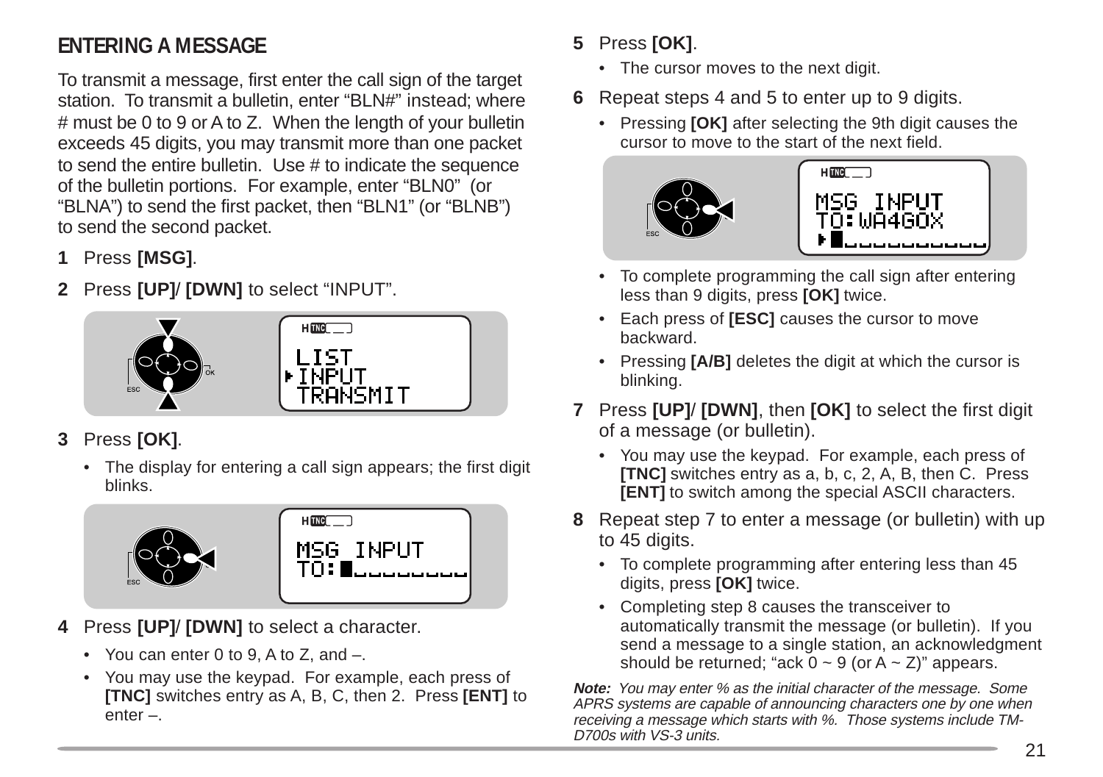## **ENTERING A MESSAGE**

To transmit a message, first enter the call sign of the target station. To transmit a bulletin, enter "BLN#" instead; where # must be 0 to 9 or A to Z. When the length of your bulletin exceeds 45 digits, you may transmit more than one packet to send the entire bulletin. Use # to indicate the sequence of the bulletin portions. For example, enter "BLN0" (or "BLNA") to send the first packet, then "BLN1" (or "BLNB") to send the second packet.

- **1** Press **[MSG]**.
- **2** Press **[UP]**/ **[DWN]** to select "INPUT".

![](_page_22_Picture_4.jpeg)

- **3** Press **[OK]**.
	- The display for entering a call sign appears; the first digit blinks.

![](_page_22_Picture_7.jpeg)

- **4** Press **[UP]**/ **[DWN]** to select a character.
	- You can enter 0 to 9, A to Z, and –.
	- You may use the keypad. For example, each press of **[TNC]** switches entry as A, B, C, then 2. Press **[ENT]** to enter –.

#### **5** Press **[OK]**.

- The cursor moves to the next digit.
- **6** Repeat steps 4 and 5 to enter up to 9 digits.
	- Pressing **[OK]** after selecting the 9th digit causes the cursor to move to the start of the next field.

![](_page_22_Picture_15.jpeg)

- To complete programming the call sign after entering less than 9 digits, press **[OK]** twice.
- Each press of **[ESC]** causes the cursor to move backward.
- Pressing **[A/B]** deletes the digit at which the cursor is blinking.
- **7** Press **[UP]**/ **[DWN]**, then **[OK]** to select the first digit of a message (or bulletin).
	- You may use the keypad. For example, each press of **[TNC]** switches entry as a, b, c, 2, A, B, then C. Press **[ENT]** to switch among the special ASCII characters.
- **8** Repeat step 7 to enter a message (or bulletin) with up to 45 digits.
	- To complete programming after entering less than 45 digits, press **[OK]** twice.
	- Completing step 8 causes the transceiver to automatically transmit the message (or bulletin). If you send a message to a single station, an acknowledgment should be returned; "ack  $0 \sim 9$  (or A  $\sim$  Z)" appears.

**Note:** You may enter % as the initial character of the message. Some APRS systems are capable of announcing characters one by one when receiving a message which starts with %. Those systems include TM-D700s with VS-3 units.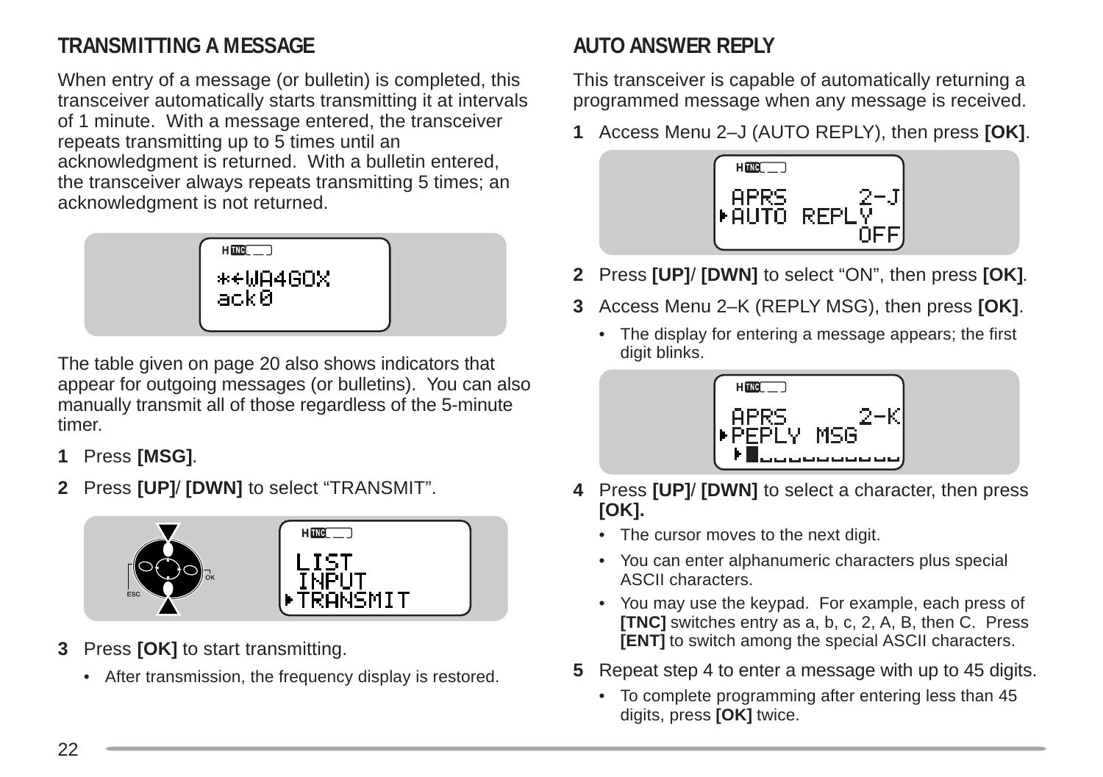## **TRANSMITTING A MESSAGE**

When entry of a message (or bulletin) is completed, this transceiver automatically starts transmitting it at intervals of 1 minute. With a message entered, the transceiver repeats transmitting up to 5 times until an acknowledgment is returned. With a bulletin entered, the transceiver always repeats transmitting 5 times; an acknowledgment is not returned.

![](_page_23_Picture_2.jpeg)

The table given on page 20 also shows indicators that appear for outgoing messages (or bulletins). You can also manually transmit all of those regardless of the 5-minute timer.

- **1** Press **[MSG]**.
- **2** Press **[UP]**/ **[DWN]** to select "TRANSMIT".

![](_page_23_Picture_6.jpeg)

- **3** Press **[OK]** to start transmitting.
	- After transmission, the frequency display is restored.

## **AUTO ANSWER REPLY**

This transceiver is capable of automatically returning a programmed message when any message is received.

**1** Access Menu 2–J (AUTO REPLY), then press **[OK]**.

![](_page_23_Picture_12.jpeg)

- **2** Press **[UP]**/ **[DWN]** to select "ON", then press **[OK]**.
- **3** Access Menu 2–K (REPLY MSG), then press **[OK]**.
	- The display for entering a message appears; the first digit blinks.

![](_page_23_Picture_16.jpeg)

- **4** Press **[UP]**/ **[DWN]** to select a character, then press **[OK].**
	- The cursor moves to the next digit.
	- You can enter alphanumeric characters plus special ASCII characters.
	- You may use the keypad. For example, each press of **[TNC]** switches entry as a, b, c, 2, A, B, then C. Press **[ENT]** to switch among the special ASCII characters.
- **5** Repeat step 4 to enter a message with up to 45 digits.
	- To complete programming after entering less than 45 digits, press **[OK]** twice.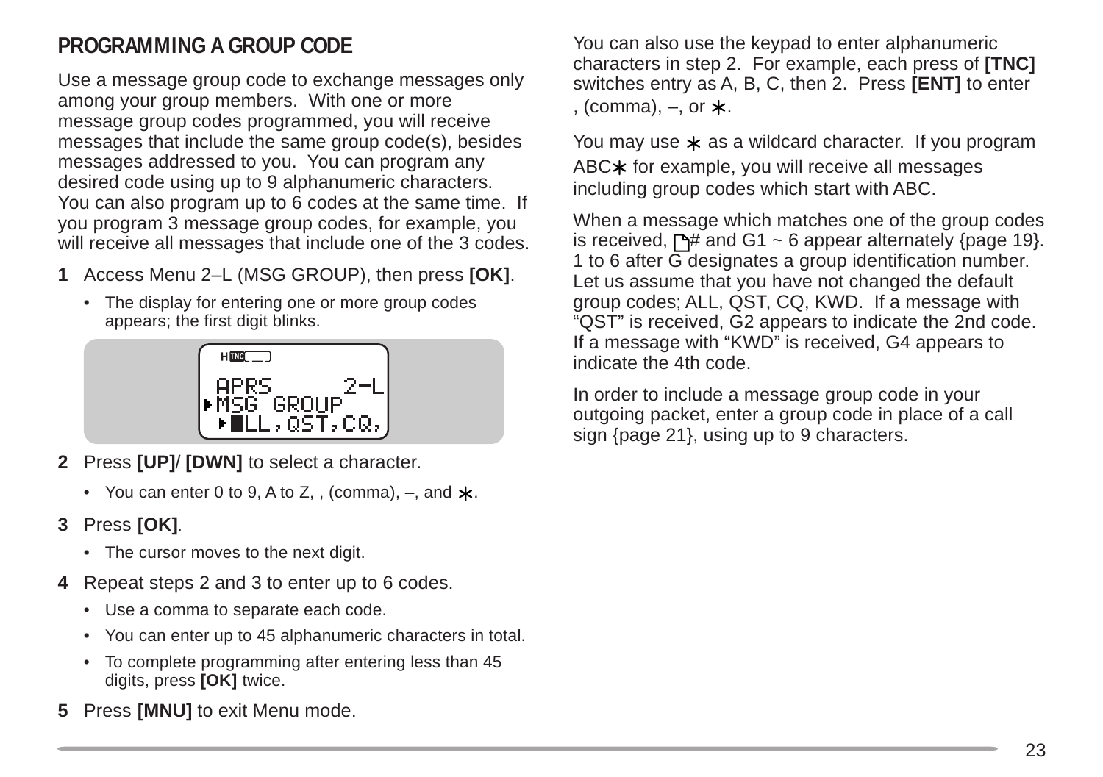## **PROGRAMMING A GROUP CODE**

Use a message group code to exchange messages only among your group members. With one or more message group codes programmed, you will receive messages that include the same group code(s), besides messages addressed to you. You can program any desired code using up to 9 alphanumeric characters. You can also program up to 6 codes at the same time. If you program 3 message group codes, for example, you will receive all messages that include one of the 3 codes.

- **1** Access Menu 2–L (MSG GROUP), then press **[OK]**.
	- The display for entering one or more group codes appears; the first digit blinks.

![](_page_24_Figure_4.jpeg)

- **2** Press **[UP]**/ **[DWN]** to select a character.
	- You can enter 0 to 9, A to Z, , (comma),  $-$ , and  $\star$ .
- **3** Press **[OK]**.
	- The cursor moves to the next digit.
- **4** Repeat steps 2 and 3 to enter up to 6 codes.
	- Use a comma to separate each code.
	- You can enter up to 45 alphanumeric characters in total.
	- To complete programming after entering less than 45 digits, press **[OK]** twice.
- **5** Press **[MNU]** to exit Menu mode.

You can also use the keypad to enter alphanumeric characters in step 2. For example, each press of **[TNC]** switches entry as A, B, C, then 2. Press **[ENT]** to enter , (comma),  $-$ , or  $\star$ .

You may use  $\star$  as a wildcard character. If you program ABC $*$  for example, you will receive all messages including group codes which start with ABC.

When a message which matches one of the group codes is received,  $\Box$ # and G1 ~ 6 appear alternately {page 19}. 1 to 6 after G designates a group identification number. Let us assume that you have not changed the default group codes; ALL, QST, CQ, KWD. If a message with "QST" is received, G2 appears to indicate the 2nd code. If a message with "KWD" is received, G4 appears to indicate the 4th code.

In order to include a message group code in your outgoing packet, enter a group code in place of a call sign {page 21}, using up to 9 characters.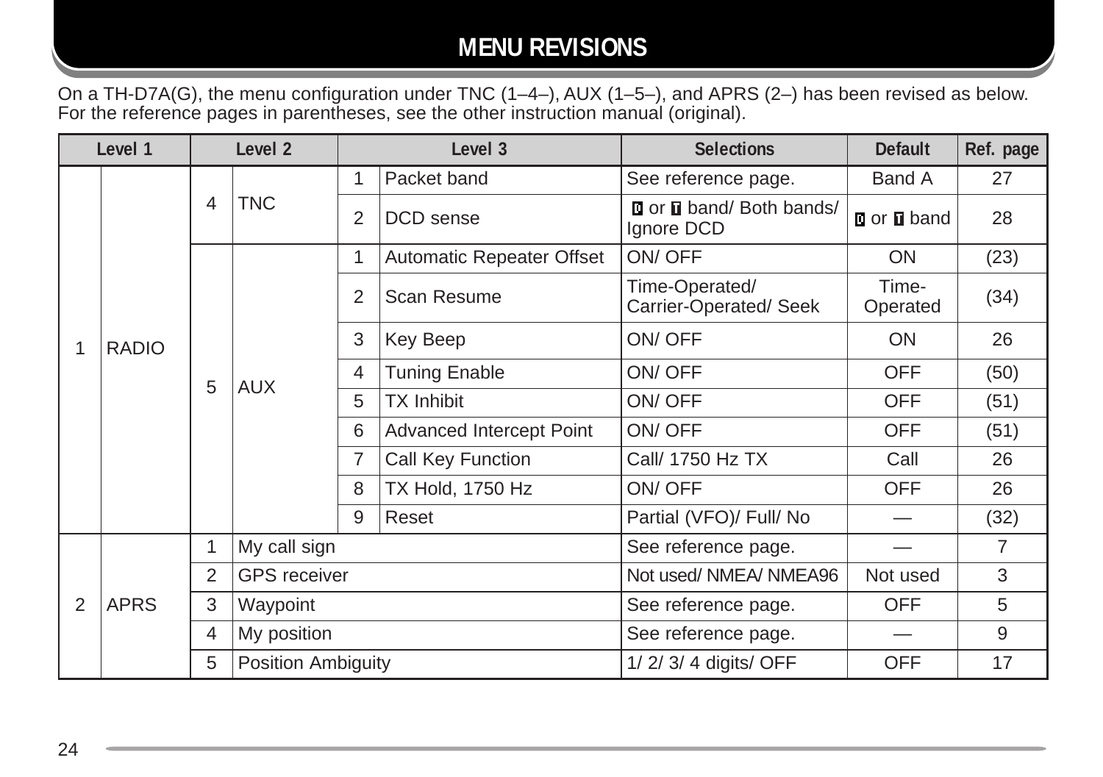## **MENU REVISIONS**

On a TH-D7A(G), the menu configuration under TNC (1–4–), AUX (1–5–), and APRS (2–) has been revised as below. For the reference pages in parentheses, see the other instruction manual (original).

| Level 1 |              | Level <sub>2</sub> |                           |                | Level 3                   | <b>Selections</b>                            | <b>Default</b>    | Ref. page |
|---------|--------------|--------------------|---------------------------|----------------|---------------------------|----------------------------------------------|-------------------|-----------|
|         |              | 4                  | <b>TNC</b>                | 1              | Packet band               | See reference page.                          | Band A            | 27        |
|         |              |                    |                           | $\overline{2}$ | DCD sense                 | <b>Dor D</b> band/ Both bands/<br>Ignore DCD | <b>Dor D</b> band | 28        |
|         |              |                    |                           | 1              | Automatic Repeater Offset | ON/OFF                                       | ON.               | (23)      |
|         |              |                    |                           | $\overline{2}$ | Scan Resume               | Time-Operated/<br>Carrier-Operated/Seek      | Time-<br>Operated | (34)      |
|         | <b>RADIO</b> |                    |                           | 3              | Key Beep                  | ON/OFF                                       | <b>ON</b>         | 26        |
|         |              | 5                  | <b>AUX</b>                | 4              | <b>Tuning Enable</b>      | ON/OFF                                       | <b>OFF</b>        | (50)      |
|         |              |                    |                           | 5              | <b>TX Inhibit</b>         | ON/OFF                                       | <b>OFF</b>        | (51)      |
|         |              |                    |                           | 6              | Advanced Intercept Point  | ON/OFF                                       | <b>OFF</b>        | (51)      |
|         |              |                    |                           | 7              | Call Key Function         | Call/ 1750 Hz TX                             | Call              | 26        |
|         |              |                    |                           | 8              | <b>TX Hold, 1750 Hz</b>   | ON/OFF                                       | <b>OFF</b>        | 26        |
|         |              |                    |                           | 9              | Reset                     | Partial (VFO)/ Full/ No                      |                   | (32)      |
|         |              | 1                  | My call sign              |                |                           | See reference page.                          |                   | 7         |
|         | <b>APRS</b>  | 2                  | <b>GPS</b> receiver       |                |                           | Not used/ NMEA/ NMEA96                       | Not used          | 3         |
| 2       |              | 3                  | Waypoint                  |                |                           | See reference page.                          | <b>OFF</b>        | 5         |
|         |              | 4                  | My position               |                |                           | See reference page.                          |                   | 9         |
|         |              | $\sqrt{5}$         | <b>Position Ambiguity</b> |                |                           | 1/ 2/ 3/ 4 digits/ OFF                       | <b>OFF</b>        | 17        |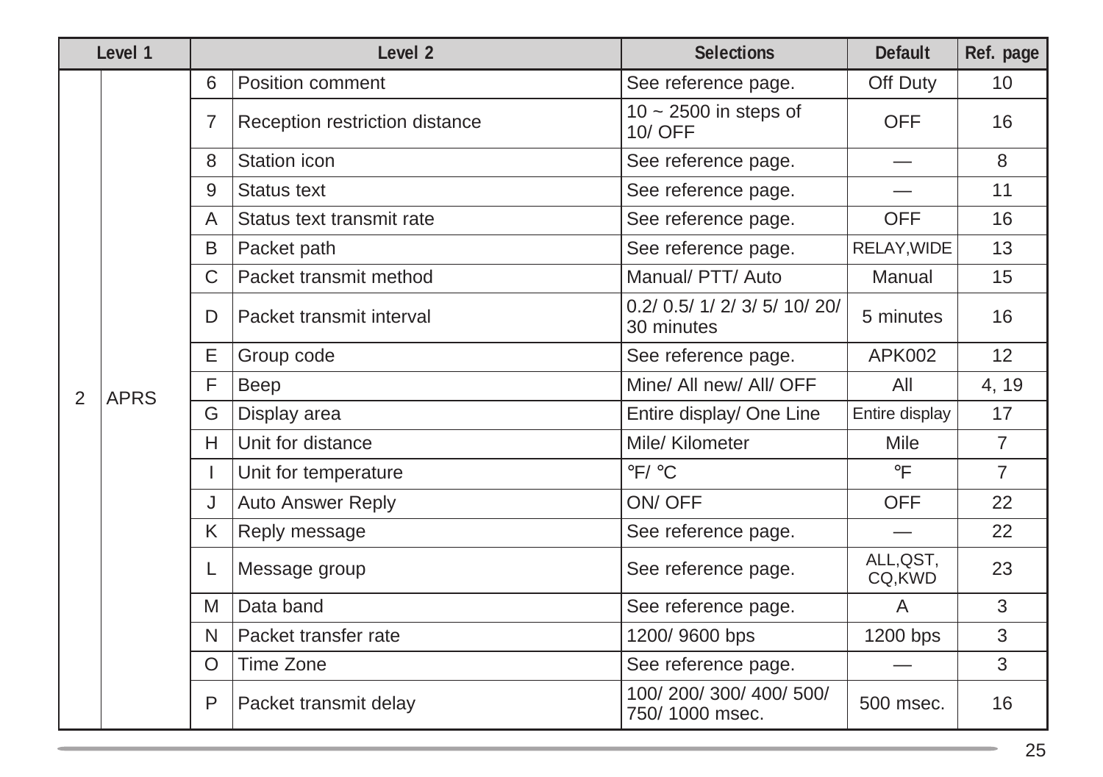| Level 1 |             |   | Level <sub>2</sub>             | <b>Selections</b>                           | <b>Default</b>      | Ref. page      |
|---------|-------------|---|--------------------------------|---------------------------------------------|---------------------|----------------|
|         |             | 6 | Position comment               | See reference page.                         | Off Duty            | 10             |
|         |             | 7 | Reception restriction distance | $10 \sim 2500$ in steps of<br>10/ OFF       | <b>OFF</b>          | 16             |
|         |             | 8 | Station icon                   | See reference page.                         |                     | 8              |
|         |             | 9 | Status text                    | See reference page.                         |                     | 11             |
|         |             | A | Status text transmit rate      | See reference page.                         | <b>OFF</b>          | 16             |
|         |             | B | Packet path                    | See reference page.                         | RELAY, WIDE         | 13             |
|         |             | C | Packet transmit method         | Manual/ PTT/ Auto                           | Manual              | 15             |
|         |             | D | Packet transmit interval       | 0.2/ 0.5/ 1/ 2/ 3/ 5/ 10/ 20/<br>30 minutes | 5 minutes           | 16             |
|         |             | Е | Group code                     | See reference page.                         | APK002              | 12             |
| 2       | <b>APRS</b> | F | Beep                           | Mine/ All new/ All/ OFF                     | All                 | 4, 19          |
|         |             | G | Display area                   | Entire display/ One Line                    | Entire display      | 17             |
|         |             | H | Unit for distance              | Mile/ Kilometer                             | Mile                | $\overline{7}$ |
|         |             |   | Unit for temperature           | $\degree$ F/ $\degree$ C                    | $\circ$ F           | $\overline{7}$ |
|         |             | J | <b>Auto Answer Reply</b>       | ON/OFF                                      | <b>OFF</b>          | 22             |
|         |             | Κ | Reply message                  | See reference page.                         |                     | 22             |
|         |             |   | Message group                  | See reference page.                         | ALL, QST,<br>CQ,KWD | 23             |
|         |             | M | Data band                      | See reference page.                         | A                   | 3              |
|         |             | N | Packet transfer rate           | 1200/9600 bps                               | 1200 bps            | 3              |
|         |             | O | Time Zone                      | See reference page.                         |                     | 3              |
|         |             | P | Packet transmit delay          | 100/200/300/400/500/<br>750/1000 msec.      | 500 msec.           | 16             |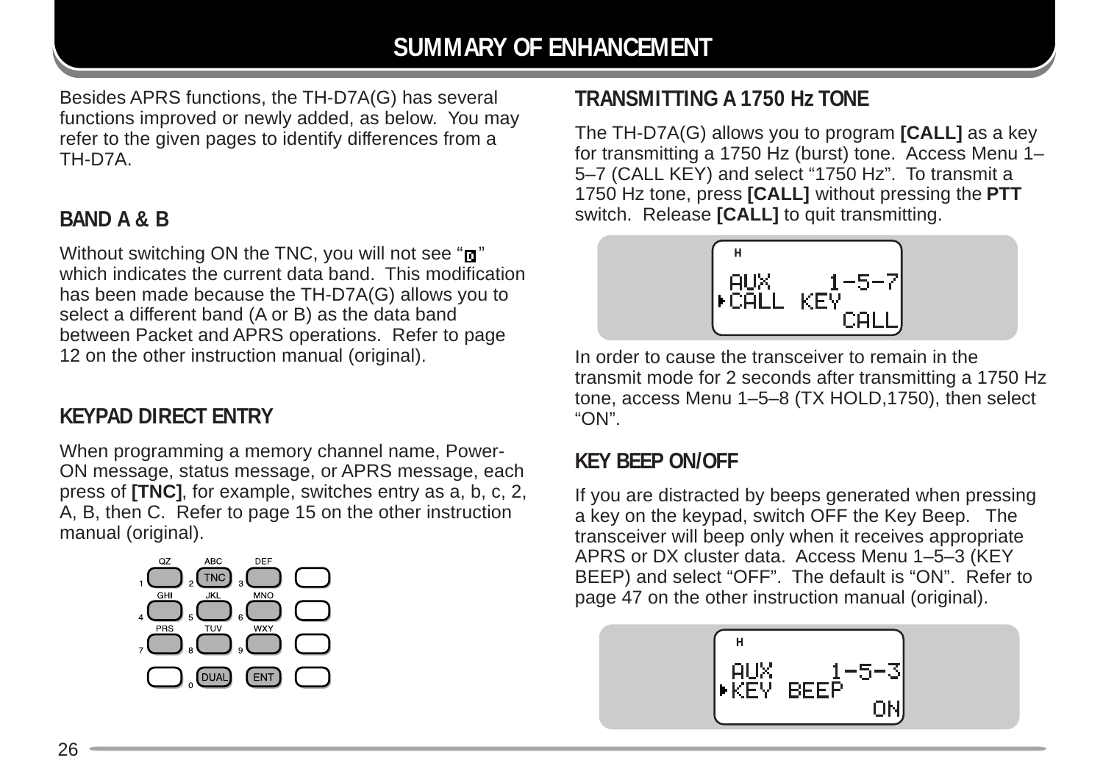## **SUMMARY OF ENHANCEMENT**

Besides APRS functions, the TH-D7A(G) has several functions improved or newly added, as below. You may refer to the given pages to identify differences from a TH-D7A.

#### **BAND A & B**

Without switching ON the TNC, you will not see " $\mathbf{u}$ " which indicates the current data band. This modification has been made because the TH-D7A(G) allows you to select a different band (A or B) as the data band between Packet and APRS operations. Refer to page 12 on the other instruction manual (original).

#### **KEYPAD DIRECT ENTRY**

When programming a memory channel name, Power-ON message, status message, or APRS message, each press of **[TNC]**, for example, switches entry as a, b, c, 2, A, B, then C. Refer to page 15 on the other instruction manual (original).

![](_page_27_Picture_6.jpeg)

## **TRANSMITTING A 1750 Hz TONE**

The TH-D7A(G) allows you to program **[CALL]** as a key for transmitting a 1750 Hz (burst) tone. Access Menu 1– 5–7 (CALL KEY) and select "1750 Hz". To transmit a 1750 Hz tone, press **[CALL]** without pressing the **PTT** switch. Release **[CALL]** to quit transmitting.

![](_page_27_Picture_9.jpeg)

In order to cause the transceiver to remain in the transmit mode for 2 seconds after transmitting a 1750 Hz tone, access Menu 1–5–8 (TX HOLD,1750), then select "ON".

#### **KEY BEEP ON/OFF**

If you are distracted by beeps generated when pressing a key on the keypad, switch OFF the Key Beep. The transceiver will beep only when it receives appropriate APRS or DX cluster data. Access Menu 1–5–3 (KEY BEEP) and select "OFF". The default is "ON". Refer to page 47 on the other instruction manual (original).

![](_page_27_Picture_13.jpeg)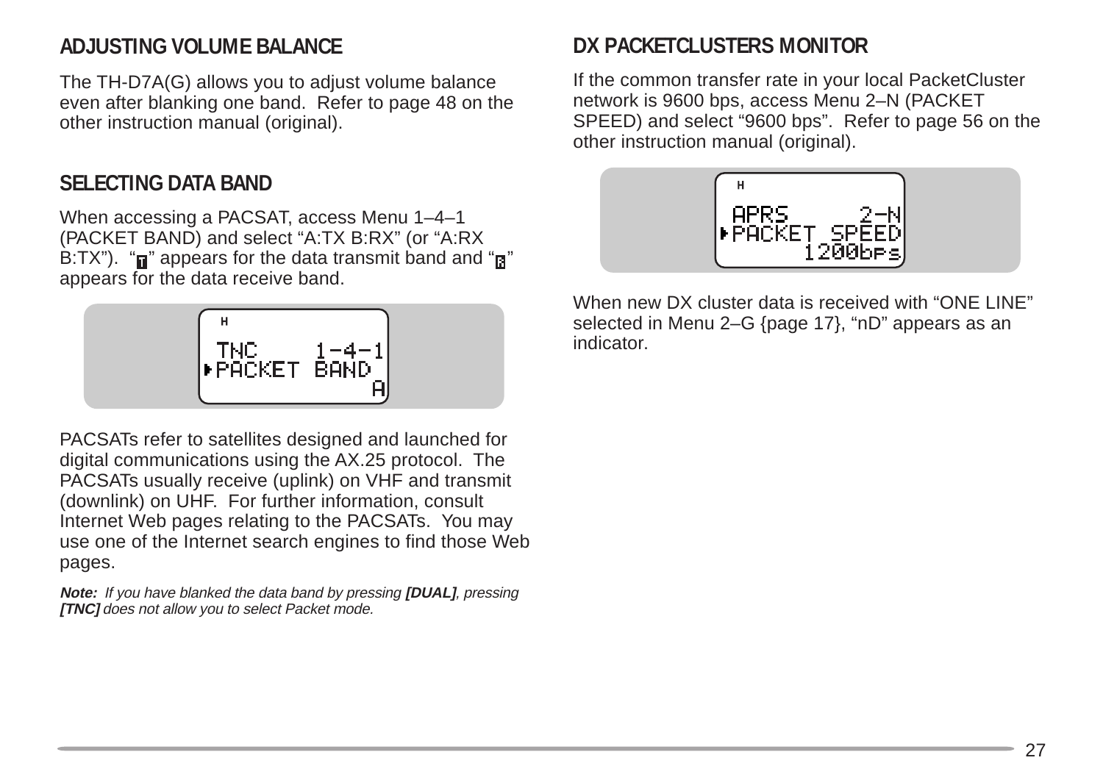#### **ADJUSTING VOLUME BALANCE**

The TH-D7A(G) allows you to adjust volume balance even after blanking one band. Refer to page 48 on the other instruction manual (original).

#### **SELECTING DATA BAND**

When accessing a PACSAT, access Menu 1–4–1 (PACKET BAND) and select "A:TX B:RX" (or "A:RX  $B:TX$ "). " $\blacksquare$ " appears for the data transmit band and " $\blacksquare$ " appears for the data receive band.

![](_page_28_Figure_4.jpeg)

PACSATs refer to satellites designed and launched for digital communications using the AX.25 protocol. The PACSATs usually receive (uplink) on VHF and transmit (downlink) on UHF. For further information, consult Internet Web pages relating to the PACSATs. You may use one of the Internet search engines to find those Web pages.

**Note:** If you have blanked the data band by pressing **[DUAL]**, pressing **[TNC]** does not allow you to select Packet mode.

#### DX PACKETCLUSTERS MONITOR

If the common transfer rate in your local PacketCluster network is 9600 bps, access Menu 2–N (PACKET SPEED) and select "9600 bps". Refer to page 56 on the other instruction manual (original).

![](_page_28_Picture_9.jpeg)

When new DX cluster data is received with "ONE LINE" selected in Menu 2–G {page 17}, "nD" appears as an indicator.